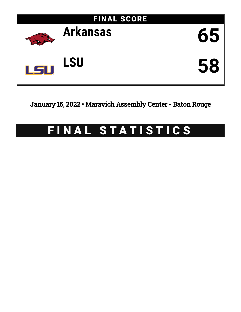

January 15, 2022 • Maravich Assembly Center - Baton Rouge

# FINAL STATISTICS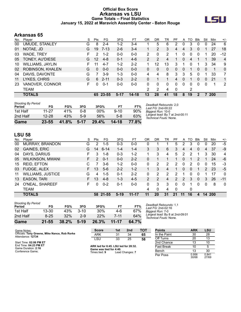### **Official Box Score Arkansas vs LSU Game Totals -- Final Statistics January 15, 2022 at Maravich Assembly Center - Baton Rouge**



# **Arkansas 65**

| No. | Plaver                  | S  | <b>Pts</b> | FG       | 3FG      | FT      | 0R | DR | TR | PF | A        | TO       | <b>B</b> lk  | Stl          | Min        | $+/-$          |
|-----|-------------------------|----|------------|----------|----------|---------|----|----|----|----|----------|----------|--------------|--------------|------------|----------------|
| 00  | UMUDE, STANLEY          | G  | 8          | $2 - 4$  | $1 - 2$  | $3 - 4$ |    | 5  | 6  | 2  | 0        | 3        | 0            | 0            | 24         | 6              |
| 01  | NOTAE, JD               | G  | 19         | $7 - 13$ | $2-6$    | $3 - 4$ |    | 2  | 3  | 4  | 4        | 3        | 0            |              | 27         | 18             |
| 03  | <b>WADE, TREY</b>       | F. | 2          | $1 - 2$  | $0 - 0$  | $0 - 0$ | 2  | 0  | 2  |    | 0        | 0        | $\Omega$     |              | 20         | $-12$          |
| 05  | TONEY, AU'DIESE         | G  | 12         | $4 - 8$  | $0 - 1$  | $4-6$   | 2  | 2  | 4  | 1  | 0        | 4        |              |              | 39         | $\overline{4}$ |
| 10  | <b>WILLIAMS, JAYLIN</b> |    | 11         | $4 - 7$  | $1 - 2$  | $2 - 2$ |    | 12 | 13 | 3  |          | 0        |              | 3            | 34         | 9              |
| 02  | <b>ROBINSON, KHALEN</b> | G  | $\Omega$   | $0 - 0$  | $0 - 0$  | $0 - 0$ | 0  | 0  | 0  | 0  | 0        |          | 0            | 0            | 1          | $\mathbf{0}$   |
| 04  | DAVIS, DAVONTE          | G  |            | $3-9$    | 1-3      | $0 - 0$ | 4  | 4  | 8  | 3  | 3        | 5        | 0            |              | 33         | 7              |
| 11  | LYKES, CHRIS            | G  | 6          | $2 - 11$ | $0 - 3$  | $2 - 2$ | 0  |    |    | 4  | 0        |          | $\mathbf{0}$ | $\mathbf{0}$ | 21         | 1              |
| 23  | VANOVER, CONNOR         | F. | $\Omega$   | $0 - 1$  | $0 - 0$  | $0 - 0$ | 0  | 0  | 0  | 0  | $\Omega$ | $\Omega$ | $\Omega$     | 0            | 1          | 2              |
|     | TEAM                    |    |            |          |          |         | 2  | 2  | 4  | 0  |          | 2        |              |              |            |                |
|     | <b>TOTALS</b>           |    |            | 65 23-55 | $5 - 17$ | 14-18   | 13 | 28 | 41 | 18 | 8        | 19       | 2            |              | <b>200</b> |                |

| Game                                | 23-55     | 41.8% | $5-17$ | 29.4% | 14-18    | 77.8% |              |
|-------------------------------------|-----------|-------|--------|-------|----------|-------|--------------|
| 2nd Half                            | $12 - 28$ | 43%   | $5-9$  | 56%   | $5 - 8$  | 63%   | Larg<br>Tech |
| 1st Half                            | 11-27     | 41%   | 0-8    | 00%   | $9 - 10$ | 90%   | Bigg         |
| <b>Shooting By Period</b><br>Period | FG        | FG%   | 3FG    | 3FG%  | FT       | FT%   | Deac<br>Last |

*Deadball Rebounds:* 2,0 *Last FG:* 2nd-00:22 *Biggest Run:* 10-0 *Largest lead:* By 7 at 2nd-00:11 *Technical Fouls:* None.

# **LSU 58**

| No. | Plaver                   | S  | Pts           | FG       | 3FG     | FT        | OR             | DR | TR | PF            | A        | TO | Blk          | Stl      | Min  | $+/-$        |
|-----|--------------------------|----|---------------|----------|---------|-----------|----------------|----|----|---------------|----------|----|--------------|----------|------|--------------|
| 00  | MURRAY, BRANDON          | G  | 2             | $1 - 5$  | $0 - 3$ | $0 - 0$   | 0              |    |    | 5             | 2        | 3  | 0            | 0        | 20   | $-5$         |
| 02  | <b>GAINES, ERIC</b>      | G  | 14            | $6 - 14$ | 1-4     | $1 - 4$   | 3              | 3  | 6  | 3             | 4        | 4  | $\mathbf{0}$ | 4        | 37   | -9           |
| 04  | DAYS, DARIUS             | F  | 3             | 1-8      | $0 - 3$ | $1-2$     | 1              | 3  | 4  | 5             | 2        | 2  | 1            | 3        | 30   | 4            |
| 05  | WILKINSON, MWANI         | F. | $\mathcal{P}$ | $0 - 1$  | $0 - 0$ | $2 - 2$   | 0              |    |    | 1             | $\Omega$ | 1  | 2            |          | 24   | -6           |
| 15  | <b>REID, EFTON</b>       |    |               | $3-6$    | 1-2     | $0 - 0$   | 0              | 2  | 2  | 2             | $\Omega$ | 2  | 0            | 0        | 15   | -3           |
| 03  | FUDGE, ALEX              |    | 13            | $5-6$    | $2 - 2$ | $1 - 2$   |                | 3  | 4  |               | $\Omega$ | 0  |              | 2        | 23   | -5           |
| 11  | <b>WILLIAMS, JUSTICE</b> | G  | 4             | $1 - 5$  | $0 - 1$ | $2 - 2$   | 0              | 2  | 2  | 2             |          | 0  | 0            |          | 17   | $\mathbf{0}$ |
| 13  | <b>EASON, TARI</b>       | F. | 13            | $4 - 8$  | $1 - 3$ | $4 - 5$   | $\overline{2}$ | 2  | 4  | $\mathcal{P}$ | 2        | 3  | $\Omega$     | 3        | 26   | $-11$        |
| 24  | O'NEAL, SHAREEF          | F  | 0             | $0 - 2$  | $0 - 1$ | $0 - 0$   | 0              | 3  | 3  | 0             | $\Omega$ |    | $\Omega$     | $\Omega$ | 8    | $\mathbf{0}$ |
|     | <b>TEAM</b>              |    |               |          |         |           | 4              | 0  | 4  | 0             |          | 0  |              |          |      |              |
|     | <b>TOTALS</b>            |    | 58.           | 21-55    | $5-19$  | $11 - 17$ | 11             | 20 | 31 | 21            | 11       | 16 | 4            | 14       | -200 |              |

| Game                                | $21 - 55$ | 38.2% | $5-19$ | 26.3% | $11 - 17$ | 64.7% |  |
|-------------------------------------|-----------|-------|--------|-------|-----------|-------|--|
| 2nd Half                            | $8 - 25$  | 32%   | $2-9$  | 22%   | 7-11      | 64%   |  |
| 1st Half                            | 13-30     | 43%   | $3-10$ | 30%   | 4-6       | 67%   |  |
| <b>Shooting By Period</b><br>Period | FG        | FG%   | 3FG    | 3FG%  | FT        | FT%   |  |

*Deadball Rebounds:* 1,1 *Last FG:* 2nd-02:16 *Biggest Run:* 7-0 *Largest lead:* By 8 at 2nd-09:01 *Technical Fouls:* None.

| Game Notes:                                                        | <b>Score</b>                             | 1st | 2nd             | тот | <b>Points</b>     | <b>ARK</b>     | <b>LSU</b>     |
|--------------------------------------------------------------------|------------------------------------------|-----|-----------------|-----|-------------------|----------------|----------------|
| Officials: Tony Greene, Mike Nance, Rob Rorke<br>Attendance: 12734 | ARK                                      | 31  | 34              | 65  | In the Paint      | 30             | 28             |
|                                                                    | LSU                                      | 33  | 25              | 58  | Off Turns         | 20             | 13             |
| Start Time: 02:06 PM ET                                            |                                          |     |                 |     | 2nd Chance        | 13             | 10             |
| End Time: 04:23 PM ET<br>Game Duration: 2:16                       | ARK led for 6:45. LSU led for 28:32.     |     |                 |     | <b>Fast Break</b> | 10             |                |
| Conference Game:                                                   | Game was tied for 4:40.<br>Times tied: 9 |     | Lead Changes: 7 |     | Bench             | 13             | 30             |
|                                                                    |                                          |     |                 |     | Per Poss          | 0.956<br>30/68 | 0.841<br>27/69 |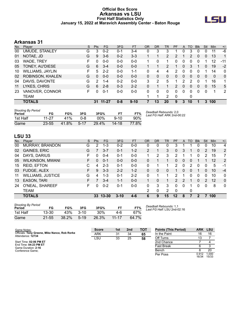#### **Official Box Score Arkansas vs LSU First Half Statistics Only January 15, 2022 at Maravich Assembly Center - Baton Rouge**



# **Arkansas 31**

| No. | Plaver                  | S  | <b>Pts</b>    | <b>FG</b> | 3FG     | <b>FT</b> | <b>OR</b> | <b>DR</b> | <b>TR</b>      | PF            | A        | TO       | <b>B</b> lk | Stl          | Min          | $+/-$        |
|-----|-------------------------|----|---------------|-----------|---------|-----------|-----------|-----------|----------------|---------------|----------|----------|-------------|--------------|--------------|--------------|
| 00  | UMUDE, STANLEY          | G  | 3             | $0 - 2$   | 0-1     | $3 - 4$   | 0         | 3         | 3              |               | 0        | 3        | 0           | 0            | 11           | -6           |
| 01  | NOTAE, JD               | G  | 9             | $3-6$     | $0 - 2$ | $3 - 3$   |           |           | 2              | 2             |          | 2        | $\Omega$    | $\mathbf{0}$ | 13           | 1            |
| 03  | WADE, TREY              | F  | 0             | $0 - 0$   | $0 - 0$ | $0 - 0$   |           | 0         |                | 0             | 0        | 0        | 0           |              | 12           | $-11$        |
| 05  | TONEY, AU'DIESE         | G  | 6             | $3 - 4$   | $0 - 0$ | $0 - 0$   |           |           | $\overline{2}$ | 1             | 0        | 3        |             | 0            | 19           | $-2$         |
| 10  | <b>WILLIAMS, JAYLIN</b> | F  | 5             | $2 - 2$   | $0 - 0$ | $1 - 1$   | 0         | 4         | 4              | 2             | 0        | 0        |             |              | 14           | 0            |
| 02  | <b>ROBINSON, KHALEN</b> | G  | 0             | $0 - 0$   | $0 - 0$ | $0 - 0$   | 0         | 0         | $\mathbf{0}$   | 0             | 0        | 0        | 0           | 0            | $\mathbf{0}$ | $\mathbf{0}$ |
| 04  | DAVIS, DAVONTE          | G  | $\mathcal{P}$ | $1 - 4$   | $0 - 2$ | $0 - 0$   | 3         | 2         | 5              |               | 2        | 2        | 0           |              | 16           | 1            |
| 11  | LYKES, CHRIS            | G  | 6             | $2 - 8$   | $0 - 3$ | $2 - 2$   | 0         |           |                | $\mathcal{P}$ | 0        | 0        | $\Omega$    | 0            | 15           | 5            |
| 23  | VANOVER, CONNOR         | F. | 0             | $0 - 1$   | $0 - 0$ | $0 - 0$   | 0         | 0         | 0              | $\Omega$      | $\Omega$ | $\Omega$ | $\Omega$    | $\Omega$     | 1            | 2            |
|     | <b>TEAM</b>             |    |               |           |         |           |           | 1         | 2              | 0             |          | 0        |             |              |              |              |
|     | <b>TOTALS</b>           |    | 31            | $11 - 27$ | $0 - 8$ | $9 - 10$  |           | 13        | 20             | 9             | 3        | 10       |             | 3            | 100          |              |

| <b>Shooting By Period</b><br>Period | FG        | FG%   | 3FG      | 3FG%  |          | FT%   | Deadball Rebounds: 2,0<br>Last FG Half: ARK 2nd-00:22 |
|-------------------------------------|-----------|-------|----------|-------|----------|-------|-------------------------------------------------------|
| 1st Half                            | 11-27     | 41%   | በ-ጸ      | 00%   | $9 - 10$ | 90%   |                                                       |
| Game                                | $23 - 55$ | 41.8% | $5 - 17$ | 29.4% | 14-18    | 77.8% |                                                       |

# **LSU 33**

| No. | Plaver                   | S. | <b>Pts</b> | FG        | 3FG      | <b>FT</b> | <b>OR</b> | <b>DR</b> | TR | PF                    | A | TO       | <b>B</b> lk | Stl      | Min | $+/-$          |
|-----|--------------------------|----|------------|-----------|----------|-----------|-----------|-----------|----|-----------------------|---|----------|-------------|----------|-----|----------------|
| 00  | MURRAY, BRANDON          | G  | 2          | $1 - 3$   | $0 - 2$  | $0 - 0$   | 0         | 0         | 0  | 3                     |   |          | 0           | 0        | 10  | 4              |
| 02  | <b>GAINES, ERIC</b>      | G  | 7          | $3 - 7$   | $0 - 1$  | $1 - 2$   | 2         |           | 3  | 0                     | 3 | 1        | 0           | 2        | 19  | $\overline{2}$ |
| 04  | DAYS, DARIUS             | F  | $\Omega$   | $0 - 4$   | $0 - 1$  | $0-0$     | 1         | 2         | 3  | 2                     |   |          | 0           | 2        | 15  | 7              |
| 05  | <b>WILKINSON, MWANI</b>  | F. | 0          | $0 - 1$   | $0 - 0$  | $0 - 0$   | 0         |           |    | 0                     | 0 | 0        |             |          | 12  | 2              |
| 15  | <b>REID, EFTON</b>       | С  | 4          | $2 - 3$   | $0 - 1$  | $0-0$     | 0         |           |    | $\mathbf{2}^{\prime}$ | 0 | 2        | 0           | 0        | 5   | -1             |
| 03  | FUDGE, ALEX              | F  | 9          | $3 - 3$   | $2 - 2$  | $1 - 2$   | 0         | 0         | 0  |                       | 0 | $\Omega$ |             | 0        | 10  | $-4$           |
| 11  | <b>WILLIAMS, JUSTICE</b> | G  | 4          | $1 - 3$   | $0 - 1$  | $2 - 2$   | $\Omega$  |           |    | 2                     |   | 0        | 0           | 0        | 10  | 0              |
| 13  | <b>EASON, TARI</b>       | F  |            | $3 - 4$   | $1 - 1$  | $0 - 0$   |           | 0         |    | $\mathcal{P}$         | 2 | 1        | 0           | 2        | 12  | $\Omega$       |
| 24  | O'NEAL, SHAREEF          | F  | 0          | $0 - 2$   | $0 - 1$  | $0 - 0$   | 0         | 3         | 3  | 0                     | 0 | 1        | 0           | $\Omega$ | 8   | $\mathbf 0$    |
|     | <b>TEAM</b>              |    |            |           |          |           | 2         | 0         | 2  | $\Omega$              |   | 0        |             |          |     |                |
|     | <b>TOTALS</b>            |    | 33         | $13 - 30$ | $3 - 10$ | $4-6$     | 6         | 9         | 15 | 12                    | 8 |          | 2           |          | 100 |                |

| <b>Shooting By Period</b><br>Period | FG        | FG%   | 3FG      | 3FG%  |           | FT%   |
|-------------------------------------|-----------|-------|----------|-------|-----------|-------|
| 1st Half                            | 13-30     | 43%   | $3 - 10$ | 30%   | 4-6       | 67%   |
| Game                                | $21 - 55$ | 38.2% | $5-19$   | 26.3% | $11 - 17$ | 64.7% |

*Deadball Rebounds:* 1,1 *Last FG Half:* LSU 2nd-02:16

| Game Notes:                                                        | <b>Score</b> | 1st | 2 <sub>nd</sub> | <b>TOT</b> | <b>Points (This Period)</b> | ARK            | LSU            |
|--------------------------------------------------------------------|--------------|-----|-----------------|------------|-----------------------------|----------------|----------------|
| Officials: Tony Greene, Mike Nance, Rob Rorke<br>Attendance: 12734 | <b>ARK</b>   | 31  | 34              | 65         | In the Paint                | 16             | 16             |
|                                                                    | LSU          | 33  | 25              | 58         | Off Turns                   | 13             |                |
| Start Time: 02:06 PM ET                                            |              |     |                 |            | 2nd Chance                  |                |                |
| End Time: 04:23 PM ET<br>Game Duration: 2:16                       |              |     |                 |            | <b>Fast Break</b>           |                |                |
| Conference Game:                                                   |              |     |                 |            | Bench                       |                | 20             |
|                                                                    |              |     |                 |            | Per Poss                    | 0.912<br>16/34 | 1.000<br>15/33 |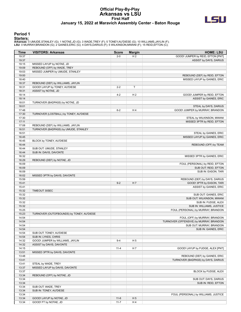#### **Official Play-By-Play Arkansas vs LSU First Half January 15, 2022 at Maravich Assembly Center - Baton Rouge**



#### **Period 1**

<mark>Starters :</mark><br>Arkansas: 0 UMUDE,STANLEY (G); 1 NOTAE,JD (G); 3 WADE,TREY (F); 5 TONEY,AU'DIESE (G); 10 WILLIAMS,JAYLIN (F);<br>LSU: 0 MURRAY,BRANDON (G); 2 GAINES,ERIC (G); 4 DAYS,DARIUS (F); 5 WILKINSON,MWANI (F); 15 REID,EFT

| Time           | <b>VISITORS: Arkansas</b>                      | <b>Score</b> | <b>Margin</b>  | <b>HOME: LSU</b>                                      |
|----------------|------------------------------------------------|--------------|----------------|-------------------------------------------------------|
| 19:37          |                                                | $2 - 0$      | H <sub>2</sub> | GOOD! JUMPER by REID, EFTON [PNT]                     |
| 19:37          |                                                |              |                | ASSIST by DAYS, DARIUS                                |
| 19:15          | MISSED LAYUP by NOTAE, JD                      |              |                |                                                       |
| 19:09          | REBOUND (OFF) by WADE, TREY                    |              |                |                                                       |
| 19:03          | MISSED JUMPER by UMUDE, STANLEY                |              |                |                                                       |
| 19:00          |                                                |              |                | REBOUND (DEF) by REID, EFTON                          |
| 18:40          |                                                |              |                | MISSED LAYUP by GAINES, ERIC                          |
| 18:37          | REBOUND (DEF) by WILLIAMS, JAYLIN              |              |                |                                                       |
| 18:31          | GOOD! LAYUP by TONEY, AU'DIESE                 | $2 - 2$      | T              |                                                       |
| 18:31          | ASSIST by NOTAE, JD                            |              |                |                                                       |
| 18:14<br>18:14 |                                                | $4 - 2$      | H <sub>2</sub> | GOOD! JUMPER by REID, EFTON<br>ASSIST by GAINES, ERIC |
| 18:01          | TURNOVER (BADPASS) by NOTAE, JD                |              |                |                                                       |
| 18:01          |                                                |              |                | STEAL by DAYS, DARIUS                                 |
| 17:48          |                                                | $6 - 2$      | H <sub>4</sub> | GOOD! JUMPER by MURRAY, BRANDON                       |
| 17:30          | TURNOVER (LOSTBALL) by TONEY, AU'DIESE         |              |                |                                                       |
| 17:30          |                                                |              |                | STEAL by WILKINSON, MWANI                             |
| 17:11          |                                                |              |                | MISSED 3PTR by REID, EFTON                            |
| 17:08          | REBOUND (DEF) by WILLIAMS, JAYLIN              |              |                |                                                       |
| 16:51          | TURNOVER (BADPASS) by UMUDE, STANLEY           |              |                |                                                       |
| 16:51          |                                                |              |                | STEAL by GAINES, ERIC                                 |
| 16:45          |                                                |              |                | MISSED LAYUP by GAINES, ERIC                          |
| 16:45          | BLOCK by TONEY, AU'DIESE                       |              |                |                                                       |
| 16:44          |                                                |              |                | REBOUND (OFF) by TEAM                                 |
| 16:44          | SUB OUT: UMUDE, STANLEY                        |              |                |                                                       |
| 16:44          | SUB IN: DAVIS, DAVONTE                         |              |                |                                                       |
| 16:32          |                                                |              |                | MISSED 3PTR by GAINES, ERIC                           |
| 16:29          | REBOUND (DEF) by NOTAE, JD                     |              |                |                                                       |
| 16:09          |                                                |              |                | FOUL (PERSONAL) by REID, EFTON                        |
| 16:09          |                                                |              |                | SUB OUT: REID, EFTON                                  |
| 16:09          |                                                |              |                | SUB IN: EASON, TARI                                   |
| 16:02          | MISSED 3PTR by DAVIS, DAVONTE                  |              |                |                                                       |
| 15:59          |                                                |              |                | REBOUND (DEF) by DAYS, DARIUS                         |
| 15:41          |                                                | $9-2$        | H 7            | GOOD! 3PTR by EASON, TARI                             |
| 15:41          |                                                |              |                | ASSIST by GAINES, ERIC                                |
| 15:32<br>15:32 | TIMEOUT 30SEC                                  |              |                |                                                       |
| 15:32          |                                                |              |                | SUB OUT: GAINES, ERIC<br>SUB OUT: WILKINSON, MWANI    |
| 15:32          |                                                |              |                | SUB IN: FUDGE, ALEX                                   |
| 15:32          |                                                |              |                | SUB IN: WILLIAMS, JUSTICE                             |
| 15:25          |                                                |              |                | FOUL (PERSONAL) by MURRAY, BRANDON                    |
| 15:23          | TURNOVER (OUTOFBOUNDS) by TONEY, AU'DIESE      |              |                |                                                       |
| 14:54          |                                                |              |                | FOUL (OFF) by MURRAY, BRANDON                         |
| 14:54          |                                                |              |                | TURNOVER (OFFENSIVE) by MURRAY, BRANDON               |
| 14:54          |                                                |              |                | SUB OUT: MURRAY, BRANDON                              |
| 14:54          |                                                |              |                | SUB IN: GAINES, ERIC                                  |
| 14:54          | SUB OUT: TONEY, AU'DIESE                       |              |                |                                                       |
| 14:54          | SUB IN: LYKES, CHRIS                           |              |                |                                                       |
| 14:32          | GOOD! JUMPER by WILLIAMS, JAYLIN               | $9 - 4$      | H <sub>5</sub> |                                                       |
| 14:32          | ASSIST by DAVIS, DAVONTE                       |              |                |                                                       |
| 14:15          |                                                | $11 - 4$     | H 7            | GOOD! LAYUP by FUDGE, ALEX [PNT]                      |
| 13:51          | MISSED 3PTR by DAVIS, DAVONTE                  |              |                |                                                       |
| 13:48          |                                                |              |                | REBOUND (DEF) by GAINES, ERIC                         |
| 13:41          |                                                |              |                | TURNOVER (BADPASS) by DAYS, DARIUS                    |
| 13:41          | STEAL by WADE, TREY                            |              |                |                                                       |
| 13:37          | MISSED LAYUP by DAVIS, DAVONTE                 |              |                |                                                       |
| 13:37          |                                                |              |                | BLOCK by FUDGE, ALEX                                  |
| 13:34          | REBOUND (OFF) by NOTAE, JD                     |              |                |                                                       |
| 13:34          |                                                |              |                | SUB OUT: DAYS, DARIUS                                 |
| 13:34          |                                                |              |                | SUB IN: REID, EFTON                                   |
| 13:34<br>13:34 | SUB OUT: WADE, TREY<br>SUB IN: TONEY, AU'DIESE |              |                |                                                       |
| 13:34          |                                                |              |                | FOUL (PERSONAL) by WILLIAMS, JUSTICE                  |
| 13:34          | GOOD! LAYUP by NOTAE, JD                       | $11 - 6$     | H <sub>5</sub> |                                                       |
| 13:34          | GOOD! FT by NOTAE, JD                          | $11 - 7$     | H4             |                                                       |
|                |                                                |              |                |                                                       |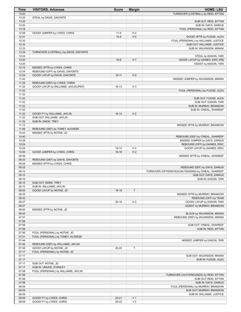| <b>Time</b>    | <b>VISITORS: Arkansas</b>                                          | <b>Score</b> | <b>Margin</b>  | <b>HOME: LSU</b>                                                                    |
|----------------|--------------------------------------------------------------------|--------------|----------------|-------------------------------------------------------------------------------------|
| 13:20          |                                                                    |              |                | TURNOVER (LOSTBALL) by REID, EFTON                                                  |
| 13:20          | STEAL by DAVIS, DAVONTE                                            |              |                |                                                                                     |
| 13:20          |                                                                    |              |                | SUB OUT: REID, EFTON                                                                |
| 13:20          |                                                                    |              |                | SUB IN: DAYS, DARIUS                                                                |
| 13:18          |                                                                    |              |                | FOUL (PERSONAL) by REID, EFTON                                                      |
| 12:58          | GOOD! JUMPER by LYKES, CHRIS                                       | $11-9$       | H <sub>2</sub> |                                                                                     |
| 12:41          |                                                                    | $14-9$       | H <sub>5</sub> | GOOD! 3PTR by FUDGE, ALEX                                                           |
| 12:33          |                                                                    |              |                | FOUL (PERSONAL) by WILLIAMS, JUSTICE                                                |
| 12:33<br>12:33 |                                                                    |              |                | SUB OUT: WILLIAMS, JUSTICE<br>SUB IN: WILKINSON, MWANI                              |
| 12:24          | TURNOVER (LOSTBALL) by DAVIS, DAVONTE                              |              |                |                                                                                     |
| 12:24          |                                                                    |              |                | STEAL by EASON, TARI                                                                |
| 12:20          |                                                                    | $16-9$       | H 7            | GOOD! LAYUP by GAINES, ERIC [FB]                                                    |
| 12:20          |                                                                    |              |                | ASSIST by EASON, TARI                                                               |
| 12:10          | MISSED 3PTR by LYKES, CHRIS                                        |              |                |                                                                                     |
| 12:04          | REBOUND (OFF) by DAVIS, DAVONTE                                    |              |                |                                                                                     |
| 12:04          | GOOD! LAYUP by DAVIS, DAVONTE                                      | $16 - 11$    | H <sub>5</sub> |                                                                                     |
| 11:42          |                                                                    |              |                | MISSED JUMPER by WILKINSON, MWANI                                                   |
| 11:39          | REBOUND (DEF) by LYKES, CHRIS                                      |              |                |                                                                                     |
| 11:32          | GOOD! LAYUP by WILLIAMS, JAYLIN [PNT]                              | 16-13        | H <sub>3</sub> |                                                                                     |
| 11:32          |                                                                    |              |                | FOUL (PERSONAL) by FUDGE, ALEX                                                      |
| 11:32          |                                                                    |              |                |                                                                                     |
| 11:32          |                                                                    |              |                | SUB OUT: FUDGE, ALEX                                                                |
| 11:32<br>11:32 |                                                                    |              |                | SUB OUT: EASON, TARI                                                                |
| 11:32          |                                                                    |              |                | SUB IN: MURRAY, BRANDON<br>SUB IN: O'NEAL, SHAREEF                                  |
| 11:32          | GOOD! FT by WILLIAMS, JAYLIN                                       | $16-14$      | H <sub>2</sub> |                                                                                     |
| 11:32          | SUB OUT: WILLIAMS, JAYLIN                                          |              |                |                                                                                     |
| 11:32          | SUB IN: WADE, TREY                                                 |              |                |                                                                                     |
| 11:12          |                                                                    |              |                | MISSED 3PTR by MURRAY, BRANDON                                                      |
| 11:09          | REBOUND (DEF) by TONEY, AU'DIESE                                   |              |                |                                                                                     |
| 10:43          | MISSED 3PTR by NOTAE, JD                                           |              |                |                                                                                     |
| 10:40          |                                                                    |              |                | REBOUND (DEF) by O'NEAL, SHAREEF                                                    |
| 10:28          |                                                                    |              |                | MISSED JUMPER by DAYS, DARIUS                                                       |
| 10:24          |                                                                    |              |                | REBOUND (OFF) by GAINES, ERIC                                                       |
| 10:24          |                                                                    | $18 - 14$    | H4             | GOOD! LAYUP by GAINES, ERIC                                                         |
| 10:00          | GOOD! JUMPER by LYKES, CHRIS                                       | $18-16$      | H <sub>2</sub> |                                                                                     |
| 09:36          |                                                                    |              |                | MISSED 3PTR by O'NEAL, SHAREEF                                                      |
| 09:33          | REBOUND (DEF) by DAVIS, DAVONTE                                    |              |                |                                                                                     |
| 09:28          | MISSED 3PTR by LYKES, CHRIS                                        |              |                |                                                                                     |
| 09:25<br>09:10 |                                                                    |              |                | REBOUND (DEF) by DAYS, DARIUS<br>TURNOVER (OFFENSIVEGOALTENDING) by O'NEAL, SHAREEF |
| 09:10          |                                                                    |              |                | SUB OUT: DAYS, DARIUS                                                               |
| 09:10          |                                                                    |              |                | SUB IN: EASON, TARI                                                                 |
| 09:10          | SUB OUT: WADE, TREY                                                |              |                |                                                                                     |
| 09:10          | SUB IN: WILLIAMS, JAYLIN                                           |              |                |                                                                                     |
| 09:00          | GOOD! LAYUP by NOTAE, JD                                           | $18-18$      | T              |                                                                                     |
| 08:35          |                                                                    |              |                | MISSED 3PTR by MURRAY, BRANDON                                                      |
| 08:32          |                                                                    |              |                | REBOUND (OFF) by TEAM                                                               |
| 08:27          |                                                                    | $20 - 18$    | H <sub>2</sub> | GOOD! LAYUP by EASON, TARI                                                          |
| 08:27          |                                                                    |              |                | ASSIST by MURRAY, BRANDON                                                           |
| 08:00          | MISSED 3PTR by NOTAE, JD                                           |              |                |                                                                                     |
| 08:00          |                                                                    |              |                | BLOCK by WILKINSON, MWANI                                                           |
| 07:57          |                                                                    |              |                | REBOUND (DEF) by WILKINSON, MWANI                                                   |
| 07:56          |                                                                    |              |                |                                                                                     |
| 07:56          |                                                                    |              |                | SUB OUT: O'NEAL, SHAREEF                                                            |
| 07:56          |                                                                    |              |                | SUB IN: REID, EFTON                                                                 |
| 07:56<br>07:51 | FOUL (PERSONAL) by NOTAE, JD<br>FOUL (PERSONAL) by TONEY, AU'DIESE |              |                |                                                                                     |
| 07:44          |                                                                    |              |                | MISSED JUMPER by EASON, TARI                                                        |
| 07:42          | REBOUND (DEF) by WILLIAMS, JAYLIN                                  |              |                |                                                                                     |
| 07:28          | GOOD! LAYUP by NOTAE, JD                                           | 20-20        | $\sf T$        |                                                                                     |
| 07:17          | FOUL (PERSONAL) by NOTAE, JD                                       |              |                |                                                                                     |
| 07:17          |                                                                    |              |                | SUB OUT: WILKINSON, MWANI                                                           |
| 07:17          |                                                                    |              |                | SUB IN: FUDGE, ALEX                                                                 |
| 07:17          | SUB OUT: NOTAE, JD                                                 |              |                |                                                                                     |
| 07:17          | SUB IN: UMUDE, STANLEY                                             |              |                |                                                                                     |
| 07:08          | FOUL (PERSONAL) by WILLIAMS, JAYLIN                                |              |                |                                                                                     |
| 07:06          |                                                                    |              |                | TURNOVER (OUTOFBOUNDS) by REID, EFTON                                               |
| 07:06          |                                                                    |              |                | SUB OUT: REID, EFTON                                                                |
| 07:06          |                                                                    |              |                | SUB IN: DAYS, DARIUS                                                                |
| 06:59          |                                                                    |              |                | FOUL (PERSONAL) by MURRAY, BRANDON                                                  |
| 06:59          |                                                                    |              |                | SUB OUT: MURRAY, BRANDON                                                            |
| 06:59          |                                                                    |              |                | SUB IN: WILLIAMS, JUSTICE                                                           |
| 06:59          | GOOD! FT by LYKES, CHRIS                                           | $20 - 21$    | V <sub>1</sub> |                                                                                     |
| 06:59          | GOOD! FT by LYKES, CHRIS                                           | $20 - 22$    | V <sub>2</sub> |                                                                                     |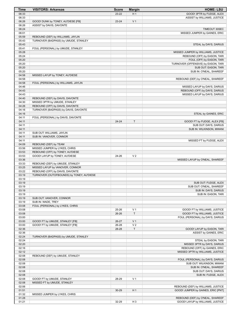| <b>Time</b>    | <b>VISITORS: Arkansas</b>                                          | <b>Score</b> | <b>Margin</b>  | <b>HOME: LSU</b>                                                  |
|----------------|--------------------------------------------------------------------|--------------|----------------|-------------------------------------------------------------------|
| 06:33          |                                                                    | 23-22        | H <sub>1</sub> | GOOD! 3PTR by FUDGE, ALEX                                         |
| 06:33          |                                                                    |              |                | ASSIST by WILLIAMS, JUSTICE                                       |
| 06:26          | GOOD! DUNK by TONEY, AU'DIESE [FB]                                 | 23-24        | V <sub>1</sub> |                                                                   |
| 06:26          | ASSIST by DAVIS, DAVONTE                                           |              |                |                                                                   |
| 06:24<br>06:01 |                                                                    |              |                | TIMEOUT 30SEC<br>MISSED JUMPER by GAINES, ERIC                    |
| 05:59          | REBOUND (DEF) by WILLIAMS, JAYLIN                                  |              |                |                                                                   |
| 05:43          | TURNOVER (BADPASS) by UMUDE, STANLEY                               |              |                |                                                                   |
| 05:43          |                                                                    |              |                | STEAL by DAYS, DARIUS                                             |
| 05:41          | FOUL (PERSONAL) by UMUDE, STANLEY                                  |              |                |                                                                   |
| 05:28          |                                                                    |              |                | MISSED JUMPER by WILLIAMS, JUSTICE                                |
| 05:24          |                                                                    |              |                | REBOUND (OFF) by EASON, TARI                                      |
| 05:20          |                                                                    |              |                | FOUL (OFF) by EASON, TARI                                         |
| 05:20          |                                                                    |              |                | TURNOVER (OFFENSIVE) by EASON, TARI                               |
| 05:20          |                                                                    |              |                | SUB OUT: EASON, TARI                                              |
| 05:20<br>04:58 | MISSED LAYUP by TONEY, AU'DIESE                                    |              |                | SUB IN: O'NEAL, SHAREEF                                           |
| 04:58          |                                                                    |              |                | REBOUND (DEF) by O'NEAL, SHAREEF                                  |
| 04:58          | FOUL (PERSONAL) by WILLIAMS, JAYLIN                                |              |                |                                                                   |
| 04:46          |                                                                    |              |                | MISSED LAYUP by DAYS, DARIUS                                      |
| 04:43          |                                                                    |              |                | REBOUND (OFF) by DAYS, DARIUS                                     |
| 04:43          |                                                                    |              |                | MISSED LAYUP by DAYS, DARIUS                                      |
| 04:40          | REBOUND (DEF) by DAVIS, DAVONTE                                    |              |                |                                                                   |
| 04:30          | MISSED 3PTR by UMUDE, STANLEY                                      |              |                |                                                                   |
| 04:26          | REBOUND (OFF) by DAVIS, DAVONTE                                    |              |                |                                                                   |
| 04:16          | TURNOVER (BADPASS) by DAVIS, DAVONTE                               |              |                |                                                                   |
| 04:16          |                                                                    |              |                | STEAL by GAINES, ERIC                                             |
| 04:11<br>04:11 | FOUL (PERSONAL) by DAVIS, DAVONTE                                  | 24-24        | $\top$         | GOOD! FT by FUDGE, ALEX [FB]                                      |
| 04:11          |                                                                    |              |                | SUB OUT: DAYS, DARIUS                                             |
| 04:11          |                                                                    |              |                | SUB IN: WILKINSON, MWANI                                          |
| 04:11          | SUB OUT: WILLIAMS, JAYLIN                                          |              |                |                                                                   |
| 04:11          | SUB IN: VANOVER, CONNOR                                            |              |                |                                                                   |
| 04:11          |                                                                    |              |                | MISSED FT by FUDGE, ALEX                                          |
| 04:09          | REBOUND (DEF) by TEAM                                              |              |                |                                                                   |
| 03:56          | MISSED JUMPER by LYKES, CHRIS                                      |              |                |                                                                   |
| 03:53          | REBOUND (OFF) by TONEY, AU'DIESE                                   |              |                |                                                                   |
| 03:53          | GOOD! LAYUP by TONEY, AU'DIESE                                     | 24-26        | V <sub>2</sub> |                                                                   |
| 03:36<br>03:33 |                                                                    |              |                | MISSED LAYUP by O'NEAL, SHAREEF                                   |
| 03:25          | REBOUND (DEF) by UMUDE, STANLEY<br>MISSED LAYUP by VANOVER, CONNOR |              |                |                                                                   |
| 03:22          | REBOUND (OFF) by DAVIS, DAVONTE                                    |              |                |                                                                   |
| 03:19          | TURNOVER (OUTOFBOUNDS) by TONEY, AU'DIESE                          |              |                |                                                                   |
| 03:19          |                                                                    |              |                |                                                                   |
| 03:19          |                                                                    |              |                | SUB OUT: FUDGE, ALEX                                              |
| 03:19          |                                                                    |              |                | SUB OUT: O'NEAL, SHAREEF                                          |
| 03:19          |                                                                    |              |                | SUB IN: DAYS, DARIUS                                              |
| 03:19          |                                                                    |              |                | SUB IN: EASON, TARI                                               |
| 03:19          | SUB OUT: VANOVER, CONNOR                                           |              |                |                                                                   |
| 03:19<br>03:08 | SUB IN: WADE, TREY<br>FOUL (PERSONAL) by LYKES, CHRIS              |              |                |                                                                   |
| 03:08          |                                                                    | 25-26        | V <sub>1</sub> | GOOD! FT by WILLIAMS, JUSTICE                                     |
| 03:08          |                                                                    | 26-26        | $\top$         | GOOD! FT by WILLIAMS, JUSTICE                                     |
| 03:00          |                                                                    |              |                | FOUL (PERSONAL) by DAYS, DARIUS                                   |
| 03:00          | GOOD! FT by UMUDE, STANLEY [FB]                                    | 26-27        | V <sub>1</sub> |                                                                   |
| 03:00          | GOOD! FT by UMUDE, STANLEY [FB]                                    | 26-28        | V <sub>2</sub> |                                                                   |
| 02:36          |                                                                    | 28-28        | $\mathsf{T}$   | GOOD! LAYUP by EASON, TARI                                        |
| 02:36          |                                                                    |              |                | ASSIST by GAINES, ERIC                                            |
| 02:24          | TURNOVER (BADPASS) by UMUDE, STANLEY                               |              |                |                                                                   |
| 02:24          |                                                                    |              |                | STEAL by EASON, TARI                                              |
| 02:20<br>02:16 |                                                                    |              |                | MISSED 3PTR by DAYS, DARIUS                                       |
| 02:12          |                                                                    |              |                | REBOUND (OFF) by GAINES, ERIC<br>MISSED 3PTR by WILLIAMS, JUSTICE |
| 02:08          | REBOUND (DEF) by UMUDE, STANLEY                                    |              |                |                                                                   |
| 02:08          |                                                                    |              |                | FOUL (PERSONAL) by DAYS, DARIUS                                   |
| 02:08          |                                                                    |              |                | SUB OUT: WILKINSON, MWANI                                         |
| 02:08          |                                                                    |              |                | SUB IN: O'NEAL, SHAREEF                                           |
| 02:08          |                                                                    |              |                | SUB OUT: DAYS, DARIUS                                             |
| 02:08          |                                                                    |              |                | SUB IN: FUDGE, ALEX                                               |
| 02:08          | GOOD! FT by UMUDE, STANLEY                                         | 28-29        | V <sub>1</sub> |                                                                   |
| 02:08          | MISSED FT by UMUDE, STANLEY                                        |              |                |                                                                   |
| 02:06          |                                                                    |              |                | REBOUND (DEF) by WILLIAMS, JUSTICE                                |
| 01:51          |                                                                    | 30-29        | H <sub>1</sub> | GOOD! JUMPER by GAINES, ERIC [PNT]                                |
| 01:32<br>01:28 | MISSED JUMPER by LYKES, CHRIS                                      |              |                | REBOUND (DEF) by O'NEAL, SHAREEF                                  |
| 01:21          |                                                                    | 32-29        | H <sub>3</sub> | GOOD! LAYUP by WILLIAMS, JUSTICE                                  |
|                |                                                                    |              |                |                                                                   |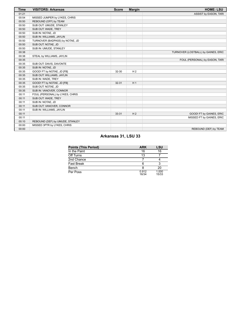| <b>Time</b> | <b>VISITORS: Arkansas</b>       | <b>Score</b> | <b>Margin</b>  | <b>HOME: LSU</b>                    |
|-------------|---------------------------------|--------------|----------------|-------------------------------------|
| 01:21       |                                 |              |                | ASSIST by EASON, TARI               |
| 00:54       | MISSED JUMPER by LYKES, CHRIS   |              |                |                                     |
| 00:50       | REBOUND (OFF) by TEAM           |              |                |                                     |
| 00:50       | SUB OUT: UMUDE, STANLEY         |              |                |                                     |
| 00:50       | SUB OUT: WADE, TREY             |              |                |                                     |
| 00:50       | SUB IN: NOTAE, JD               |              |                |                                     |
| 00:50       | SUB IN: WILLIAMS, JAYLIN        |              |                |                                     |
| 00:50       | TURNOVER (BADPASS) by NOTAE, JD |              |                |                                     |
| 00:50       | SUB OUT: NOTAE, JD              |              |                |                                     |
| 00:50       | SUB IN: UMUDE, STANLEY          |              |                |                                     |
| 00:38       |                                 |              |                | TURNOVER (LOSTBALL) by GAINES, ERIC |
| 00:38       | STEAL by WILLIAMS, JAYLIN       |              |                |                                     |
| 00:35       |                                 |              |                | FOUL (PERSONAL) by EASON, TARI      |
| 00:35       | SUB OUT: DAVIS, DAVONTE         |              |                |                                     |
| 00:35       | SUB IN: NOTAE, JD               |              |                |                                     |
| 00:35       | GOOD! FT by NOTAE, JD [FB]      | 32-30        | H <sub>2</sub> |                                     |
| 00:35       | SUB OUT: WILLIAMS, JAYLIN       |              |                |                                     |
| 00:35       | SUB IN: WADE, TREY              |              |                |                                     |
| 00:35       | GOOD! FT by NOTAE, JD [FB]      | $32 - 31$    | H <sub>1</sub> |                                     |
| 00:35       | SUB OUT: NOTAE, JD              |              |                |                                     |
| 00:35       | SUB IN: VANOVER, CONNOR         |              |                |                                     |
| 00:11       | FOUL (PERSONAL) by LYKES, CHRIS |              |                |                                     |
| 00:11       | SUB OUT: WADE, TREY             |              |                |                                     |
| 00:11       | SUB IN: NOTAE, JD               |              |                |                                     |
| 00:11       | SUB OUT: VANOVER, CONNOR        |              |                |                                     |
| 00:11       | SUB IN: WILLIAMS, JAYLIN        |              |                |                                     |
| 00:11       |                                 | 33-31        | H <sub>2</sub> | GOOD! FT by GAINES, ERIC            |
| 00:11       |                                 |              |                | MISSED FT by GAINES, ERIC           |
| 00:10       | REBOUND (DEF) by UMUDE, STANLEY |              |                |                                     |
| 00:00       | MISSED 3PTR by LYKES, CHRIS     |              |                |                                     |
| 00:00       |                                 |              |                | REBOUND (DEF) by TEAM               |

# **Arkansas 31, LSU 33**

| <b>Points (This Period)</b> | <b>ARK</b>     | LSU            |
|-----------------------------|----------------|----------------|
| In the Paint                | 16             | 16             |
| Off Turns                   | 13             |                |
| 2nd Chance                  |                |                |
| Fast Break                  |                |                |
| Bench                       |                | 20             |
| Per Poss                    | 0.912<br>16/34 | 1.000<br>15/33 |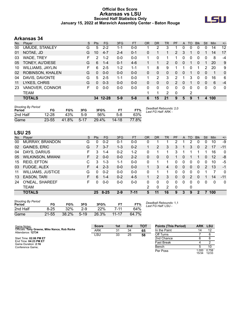### **Official Box Score Arkansas vs LSU Second Half Statistics Only January 15, 2022 at Maravich Assembly Center - Baton Rouge**



## **Arkansas 34**

| No. | Player                  | S  | <b>Pts</b> | FG       | 3FG     | <b>FT</b> | <b>OR</b> | <b>DR</b> | <b>TR</b>      | PF             | A | T <sub>O</sub> | <b>Blk</b>   | Stl      | Min | $+/-$        |
|-----|-------------------------|----|------------|----------|---------|-----------|-----------|-----------|----------------|----------------|---|----------------|--------------|----------|-----|--------------|
| 00  | <b>UMUDE, STANLEY</b>   | G  | 5          | $2 - 2$  | 1-1     | $0-0$     |           | 2         | 3              |                | 0 | 0              | 0            | 0        | 14  | 12           |
| 01  | NOTAE, JD               | G  | 10         | $4 - 7$  | $2 - 4$ | $0 - 1$   | 0         | 1         |                | $\overline{2}$ | 3 | 1              | 0            |          | 14  | 17           |
| 03  | WADE, TREY              | F  | 2          | $1 - 2$  | $0 - 0$ | $0 - 0$   |           | 0         |                | 1              | 0 | 0              | $\mathbf 0$  | 0        | 8   | $-4$         |
| 05  | TONEY, AU'DIESE         | G  | 6          | $1 - 4$  | $0 - 1$ | $4-6$     |           | 1         | $\overline{2}$ | 0              | 0 | 1              | $\mathbf{0}$ | 1        | 20  | 9            |
| 10  | <b>WILLIAMS, JAYLIN</b> | F. | 6          | $2 - 5$  | $1-2$   | $1 - 1$   |           | 8         | 9              | 1              |   | 0              | 1            | 2        | 20  | 9            |
| 02  | ROBINSON, KHALEN        | G  | $\Omega$   | $0 - 0$  | $0 - 0$ | $0 - 0$   | 0         | 0         | $\Omega$       | 0              | 0 |                | $\Omega$     | $\Omega$ | 1   | $\mathbf{0}$ |
| 04  | DAVIS, DAVONTE          | G  | 5          | $2 - 5$  | $1 - 1$ | $0 - 0$   |           | 2         | 3              | 2              |   | 3              | $\Omega$     | 0        | 16  | 6            |
| 11  | LYKES, CHRIS            | G  | $\Omega$   | $0 - 3$  | $0 - 0$ | $0 - 0$   | 0         | 0         | 0              | $\overline{2}$ | 0 |                | 0            | 0        | 6   | $-4$         |
| 23  | VANOVER, CONNOR         | F. | $\Omega$   | $0-0$    | $0-0$   | $0 - 0$   | 0         | 0         | 0              | 0              | 0 | 0              | $\Omega$     | 0        | 0   | 0            |
|     | TEAM                    |    |            |          |         |           |           | 1         | $\overline{2}$ | 0              |   | 2              |              |          |     |              |
|     | <b>TOTALS</b>           |    |            | 34 12-28 | $5-9$   | $5-8$     | 6         | 15        | 21             | 9              | 5 | 9              |              | 4        | 100 |              |

| <b>Shooting By Period</b><br>Period | FG        | FG%   | 3FG      | 3FG%  |           | FT%   | Deadball Rebounds: 2,0<br>Last FG Half: ARK - |
|-------------------------------------|-----------|-------|----------|-------|-----------|-------|-----------------------------------------------|
| 2nd Half                            | $12 - 28$ | 43%   | 5-9      | 56%   | 5-8       | 63%   |                                               |
| Game                                | $23 - 55$ | 41.8% | $5 - 17$ | 29.4% | $14 - 18$ | 77.8% |                                               |

# **LSU 25**

| No. | Player                   | S  | <b>Pts</b>    | FG      | 3FG     | <b>FT</b> | <b>OR</b> | <b>DR</b> | TR       | <b>PF</b> | A            | TO | <b>Blk</b>   | Stl | Min      | $+/-$        |
|-----|--------------------------|----|---------------|---------|---------|-----------|-----------|-----------|----------|-----------|--------------|----|--------------|-----|----------|--------------|
| 00  | MURRAY, BRANDON          | G  | 0             | $0 - 2$ | $0 - 1$ | $0-0$     | 0         |           |          | 2         |              | 2  | 0            | 0   | 10       | -9           |
| 02  | <b>GAINES, ERIC</b>      | G  | 7             | $3 - 7$ | $1 - 3$ | $0 - 2$   |           | 2         | 3        | 3         |              | 3  | 0            | 2   | 17       | $-11$        |
| 04  | DAYS, DARIUS             | F  | 3             | 1-4     | $0 - 2$ | $1 - 2$   | 0         |           |          | 3         |              |    |              |     | 16       | $\mathbf{0}$ |
| 05  | <b>WILKINSON, MWANI</b>  | F. | $\mathcal{P}$ | $0 - 0$ | $0 - 0$ | $2 - 2$   | 0         | 0         | 0        |           | $\Omega$     |    |              | 0   | 12       | -8           |
| 15  | <b>REID, EFTON</b>       | С  | 3             | $1 - 3$ | $1 - 1$ | $0 - 0$   | 0         |           |          | 0         | 0            | 0  | 0            | 0   | 10       | -5           |
| 03  | FUDGE, ALEX              | F. | 4             | $2 - 3$ | $0 - 0$ | $0 - 0$   |           | 3         | 4        | $\Omega$  | $\mathbf{0}$ | 0  | $\mathbf{0}$ | 2   | 13       | $-1$         |
| 11  | <b>WILLIAMS, JUSTICE</b> | G  | 0             | $0 - 2$ | $0 - 0$ | $0 - 0$   | $\Omega$  |           | 1.       | 0         | 0            | 0  | 0            |     | 7        | $\mathbf{0}$ |
| 13  | <b>EASON, TARI</b>       | F. | 6             | 1-4     | $0 - 2$ | $4 - 5$   |           | 2         | 3        | 0         | $\Omega$     | 2  | 0            |     | 14       | $-11$        |
| 24  | O'NEAL, SHAREEF          | F. | 0             | $0 - 0$ | $0 - 0$ | $0 - 0$   | 0         | 0         | $\Omega$ | 0         | $\Omega$     | 0  | 0            | 0   | $\Omega$ | $\mathbf{0}$ |
|     | TEAM                     |    |               |         |         |           | 2         | 0         | 2        | 0         |              | 0  |              |     |          |              |
|     | <b>TOTALS</b>            |    |               | 25 8-25 | $2 - 9$ | $7 - 11$  | 5         | 11        | 16       | 9         | 3            | 9  | 2            |     | 100      |              |
|     |                          |    |               |         |         |           |           |           |          |           |              |    |              |     |          |              |

| <b>Shooting By Period</b><br>Period | FG       | FG%   | 3FG      | 3FG%  |           | FT%   |
|-------------------------------------|----------|-------|----------|-------|-----------|-------|
| 2nd Half                            | $8 - 25$ | 32%   | 2-9      | 22%   | 7-11      | 64%   |
| Game                                | 21-55    | 38.2% | $5 - 19$ | 26.3% | $11 - 17$ | 64.7% |

*Deadball Rebounds:* 1,1 *Last FG Half:* LSU -

| Game Notes:                                                        | <b>Score</b> | 1st | 2 <sub>nd</sub> | <b>TOT</b> | <b>Points (This Period)</b> | <b>ARK</b>    | LSU            |
|--------------------------------------------------------------------|--------------|-----|-----------------|------------|-----------------------------|---------------|----------------|
| Officials: Tony Greene, Mike Nance, Rob Rorke<br>Attendance: 12734 | <b>ARK</b>   | 31  | 34              | 65         | In the Paint                |               | 12             |
|                                                                    | LSU          | 33  | 25              | 58         | Off Turns                   |               |                |
| Start Time: 02:06 PM ET                                            |              |     |                 |            | 2nd Chance                  |               |                |
| End Time: 04:23 PM ET<br>Game Duration: 2:16                       |              |     |                 |            | Fast Break                  |               |                |
| Conference Game:                                                   |              |     |                 |            | Bench                       |               | 10             |
|                                                                    |              |     |                 |            | Per Poss                    | .000<br>15/34 | 0.758<br>12/33 |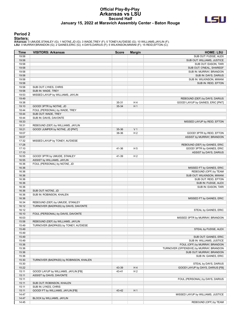#### **Official Play-By-Play Arkansas vs LSU Second Half January 15, 2022 at Maravich Assembly Center - Baton Rouge**



#### **Period 2**

<mark>Starters :</mark><br>Arkansas: 0 UMUDE,STANLEY (G); 1 NOTAE,JD (G); 3 WADE,TREY (F); 5 TONEY,AU'DIESE (G); 10 WILLIAMS,JAYLIN (F);<br>LSU: 0 MURRAY,BRANDON (G); 2 GAINES,ERIC (G); 4 DAYS,DARIUS (F); 5 WILKINSON,MWANI (F); 15 REID,EFT

| <b>Time</b>    | <b>VISITORS: Arkansas</b>                     | <b>Score</b> | <b>Margin</b>  | <b>HOME: LSU</b>                        |
|----------------|-----------------------------------------------|--------------|----------------|-----------------------------------------|
| 19:58          |                                               |              |                | SUB OUT: FUDGE, ALEX                    |
| 19:58          |                                               |              |                | SUB OUT: WILLIAMS, JUSTICE              |
| 19:58          |                                               |              |                | SUB OUT: EASON, TARI                    |
| 19:58          |                                               |              |                | SUB OUT: O'NEAL, SHAREEF                |
| 19:58          |                                               |              |                | SUB IN: MURRAY, BRANDON                 |
| 19:58          |                                               |              |                | SUB IN: DAYS, DARIUS                    |
| 19:58          |                                               |              |                | SUB IN: WILKINSON, MWANI                |
| 19:58          |                                               |              |                | SUB IN: REID, EFTON                     |
| 19:58          | SUB OUT: LYKES, CHRIS                         |              |                |                                         |
| 19:58          | SUB IN: WADE, TREY                            |              |                |                                         |
| 19:53          | MISSED LAYUP by WILLIAMS, JAYLIN              |              |                |                                         |
| 19:49          |                                               |              |                | REBOUND (DEF) by DAYS, DARIUS           |
| 19:38          |                                               | 35-31        | H 4            | GOOD! LAYUP by GAINES, ERIC [PNT]       |
| 19:10          | GOOD! 3PTR by NOTAE, JD                       | 35-34        | H <sub>1</sub> |                                         |
| 18:44<br>18:44 | FOUL (PERSONAL) by WADE, TREY                 |              |                |                                         |
| 18:44          | SUB OUT: WADE, TREY<br>SUB IN: DAVIS, DAVONTE |              |                |                                         |
| 18:33          |                                               |              |                | MISSED LAYUP by REID, EFTON             |
| 18:31          | REBOUND (DEF) by WILLIAMS, JAYLIN             |              |                |                                         |
| 18:21          | GOOD! JUMPER by NOTAE, JD [PNT]               | 35-36        | V <sub>1</sub> |                                         |
| 18:07          |                                               | 38-36        | H <sub>2</sub> | GOOD! 3PTR by REID, EFTON               |
| 18:07          |                                               |              |                | ASSIST by MURRAY, BRANDON               |
| 17:32          | MISSED LAYUP by TONEY, AU'DIESE               |              |                |                                         |
| 17:28          |                                               |              |                | REBOUND (DEF) by GAINES, ERIC           |
| 17:10          |                                               | 41-36        | H <sub>5</sub> | GOOD! 3PTR by GAINES, ERIC              |
| 17:10          |                                               |              |                | ASSIST by DAYS, DARIUS                  |
| 16:55          | GOOD! 3PTR by UMUDE, STANLEY                  | 41-39        | H <sub>2</sub> |                                         |
| 16:55          | ASSIST by WILLIAMS, JAYLIN                    |              |                |                                         |
| 16:36          | FOUL (PERSONAL) by NOTAE, JD                  |              |                |                                         |
| 16:36          |                                               |              |                | MISSED FT by GAINES, ERIC               |
| 16:36          |                                               |              |                | REBOUND (OFF) by TEAM                   |
| 16:36          |                                               |              |                | SUB OUT: WILKINSON, MWANI               |
| 16:36          |                                               |              |                | SUB OUT: REID, EFTON                    |
| 16:36          |                                               |              |                | SUB IN: FUDGE, ALEX                     |
| 16:36          |                                               |              |                | SUB IN: EASON, TARI                     |
| 16:36          | SUB OUT: NOTAE, JD                            |              |                |                                         |
| 16:36          | SUB IN: ROBINSON, KHALEN                      |              |                |                                         |
| 16:36          |                                               |              |                | MISSED FT by GAINES, ERIC               |
| 16:34          | REBOUND (DEF) by UMUDE, STANLEY               |              |                |                                         |
| 16:12          | TURNOVER (BADPASS) by DAVIS, DAVONTE          |              |                |                                         |
| 16:12          |                                               |              |                | STEAL by GAINES, ERIC                   |
| 16:10          | FOUL (PERSONAL) by DAVIS, DAVONTE             |              |                |                                         |
| 16:03          |                                               |              |                | MISSED 3PTR by MURRAY, BRANDON          |
| 15:58          | REBOUND (DEF) by WILLIAMS, JAYLIN             |              |                |                                         |
| 15:49          | TURNOVER (BADPASS) by TONEY, AU'DIESE         |              |                |                                         |
| 15:49          |                                               |              |                | STEAL by FUDGE, ALEX                    |
| 15:49          |                                               |              |                |                                         |
| 15:49          |                                               |              |                | SUB OUT: GAINES, ERIC                   |
| 15:49          |                                               |              |                | SUB IN: WILLIAMS, JUSTICE               |
| 15:36          |                                               |              |                | FOUL (OFF) by MURRAY, BRANDON           |
| 15:36          |                                               |              |                | TURNOVER (OFFENSIVE) by MURRAY, BRANDON |
| 15:36          |                                               |              |                | SUB OUT: MURRAY, BRANDON                |
| 15:36          |                                               |              |                | SUB IN: GAINES, ERIC                    |
| 15:30          | TURNOVER (BADPASS) by ROBINSON, KHALEN        |              |                |                                         |
| 15:30          |                                               |              |                | STEAL by DAYS, DARIUS                   |
| 15:22          |                                               | 43-39        | H 4            | GOOD! LAYUP by DAYS, DARIUS [FB]        |
| 15:11          | GOOD! LAYUP by WILLIAMS, JAYLIN [FB]          | 43-41        | H <sub>2</sub> |                                         |
| 15:11          | ASSIST by DAVIS, DAVONTE                      |              |                |                                         |
| 15:11          |                                               |              |                | FOUL (PERSONAL) by DAYS, DARIUS         |
| 15:11          | SUB OUT: ROBINSON, KHALEN                     |              |                |                                         |
| 15:11          | SUB IN: LYKES, CHRIS                          |              |                |                                         |
| 15:11          | GOOD! FT by WILLIAMS, JAYLIN [FB]             | 43-42        | H <sub>1</sub> |                                         |
| 14:47          |                                               |              |                | MISSED LAYUP by WILLIAMS, JUSTICE       |
| 14:47          | BLOCK by WILLIAMS, JAYLIN                     |              |                |                                         |
| 14:45          |                                               |              |                | REBOUND (OFF) by TEAM                   |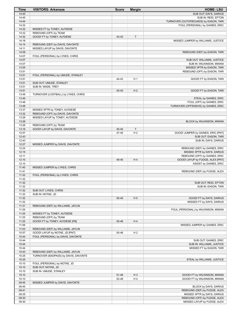| Time           | <b>VISITORS: Arkansas</b>                     | <b>Score</b>   | <b>Margin</b>  | <b>HOME: LSU</b>                                             |
|----------------|-----------------------------------------------|----------------|----------------|--------------------------------------------------------------|
| 14:45          |                                               |                |                | SUB OUT: DAYS, DARIUS                                        |
| 14:45          |                                               |                |                | SUB IN: REID, EFTON                                          |
| 14:44          |                                               |                |                | TURNOVER (OUTOFBOUNDS) by EASON, TARI                        |
| 14:32          |                                               |                |                | FOUL (PERSONAL) by GAINES, ERIC                              |
| 14:32          | MISSED FT by TONEY, AU'DIESE                  |                |                |                                                              |
| 14:32<br>14:32 | REBOUND (OFF) by TEAM                         | 43-43          | $\mathsf T$    |                                                              |
| 14:18          | GOOD! FT by TONEY, AU'DIESE                   |                |                | MISSED JUMPER by WILLIAMS, JUSTICE                           |
| 14:14          | REBOUND (DEF) by DAVIS, DAVONTE               |                |                |                                                              |
| 14:11          | MISSED LAYUP by DAVIS, DAVONTE                |                |                |                                                              |
| 14:09          |                                               |                |                | REBOUND (DEF) by EASON, TARI                                 |
| 14:07          | FOUL (PERSONAL) by LYKES, CHRIS               |                |                |                                                              |
| 14:07          |                                               |                |                | SUB OUT: WILLIAMS, JUSTICE                                   |
| 14:07          |                                               |                |                | SUB IN: WILKINSON, MWANI                                     |
| 13:55          |                                               |                |                | MISSED 3PTR by EASON, TARI                                   |
| 13:51          |                                               |                |                | REBOUND (OFF) by EASON, TARI                                 |
| 13:51          | FOUL (PERSONAL) by UMUDE, STANLEY             |                |                |                                                              |
| 13:51          |                                               | 44-43          | H <sub>1</sub> | GOOD! FT by EASON, TARI                                      |
| 13:51<br>13:51 | SUB OUT: UMUDE, STANLEY<br>SUB IN: WADE, TREY |                |                |                                                              |
| 13:51          |                                               | 45-43          | H <sub>2</sub> | GOOD! FT by EASON, TARI                                      |
| 13:49          | TURNOVER (LOSTBALL) by LYKES, CHRIS           |                |                |                                                              |
| 13:49          |                                               |                |                | STEAL by GAINES, ERIC                                        |
| 13:48          |                                               |                |                | FOUL (OFF) by GAINES, ERIC                                   |
| 13:48          |                                               |                |                | TURNOVER (OFFENSIVE) by GAINES, ERIC                         |
| 13:37          | MISSED 3PTR by TONEY, AU'DIESE                |                |                |                                                              |
| 13:32          | REBOUND (OFF) by DAVIS, DAVONTE               |                |                |                                                              |
| 13:26          | MISSED LAYUP by TONEY, AU'DIESE               |                |                |                                                              |
| 13:26          |                                               |                |                | BLOCK by WILKINSON, MWANI                                    |
| 13:26          | REBOUND (OFF) by TEAM                         |                |                |                                                              |
| 13:16          | GOOD! LAYUP by DAVIS, DAVONTE                 | 45-45          | T              |                                                              |
| 12:57<br>12:43 |                                               | 47-45          | H <sub>2</sub> | GOOD! JUMPER by GAINES, ERIC [PNT]<br>SUB OUT: EASON, TARI   |
| 12:43          |                                               |                |                | SUB IN: DAYS, DARIUS                                         |
| 12:27          | MISSED JUMPER by DAVIS, DAVONTE               |                |                |                                                              |
| 12:24          |                                               |                |                | REBOUND (DEF) by GAINES, ERIC                                |
| 12:15          |                                               |                |                | MISSED 3PTR by DAYS, DARIUS                                  |
| 12:11          |                                               |                |                | REBOUND (OFF) by GAINES, ERIC                                |
| 12:10          |                                               | 49-45          | H <sub>4</sub> | GOOD! LAYUP by FUDGE, ALEX [PNT]                             |
| 12:10          |                                               |                |                | ASSIST by GAINES, ERIC                                       |
| 11:45          | MISSED JUMPER by LYKES, CHRIS                 |                |                |                                                              |
| 11:41          |                                               |                |                | REBOUND (DEF) by FUDGE, ALEX                                 |
| 11:32          | FOUL (PERSONAL) by LYKES, CHRIS               |                |                |                                                              |
| 11:32<br>11:32 |                                               |                |                | SUB OUT: REID, EFTON                                         |
| 11:32          |                                               |                |                | SUB IN: EASON, TARI                                          |
| 11:32          | SUB OUT: LYKES, CHRIS                         |                |                |                                                              |
| 11:32          | SUB IN: NOTAE, JD                             |                |                |                                                              |
| 11:32          |                                               | $50 - 45$      | H <sub>5</sub> | GOOD! FT by DAYS, DARIUS                                     |
| 11:32          |                                               |                |                | MISSED FT by DAYS, DARIUS                                    |
| 11:31          | REBOUND (DEF) by WILLIAMS, JAYLIN             |                |                |                                                              |
| 11:25          |                                               |                |                | FOUL (PERSONAL) by WILKINSON, MWANI                          |
| 11:25          | MISSED FT by TONEY, AU'DIESE                  |                |                |                                                              |
| 11:25          | REBOUND (OFF) by TEAM                         |                |                |                                                              |
| 11:25          | GOOD! FT by TONEY, AU'DIESE [FB]              | 50-46          | H4             |                                                              |
| 11:06<br>11:03 | REBOUND (DEF) by WILLIAMS, JAYLIN             |                |                | MISSED JUMPER by GAINES, ERIC                                |
| 10:57          | GOOD! LAYUP by NOTAE, JD [PNT]                | 50-48          | H <sub>2</sub> |                                                              |
| 10:44          | FOUL (PERSONAL) by DAVIS, DAVONTE             |                |                |                                                              |
| 10:44          |                                               |                |                | SUB OUT: GAINES, ERIC                                        |
| 10:44          |                                               |                |                | SUB IN: WILLIAMS, JUSTICE                                    |
| 10:44          |                                               |                |                | MISSED FT by EASON, TARI                                     |
| 10:43          | REBOUND (DEF) by WILLIAMS, JAYLIN             |                |                |                                                              |
| 10:25          | TURNOVER (BADPASS) by DAVIS, DAVONTE          |                |                |                                                              |
| 10:25          |                                               |                |                | STEAL by WILLIAMS, JUSTICE                                   |
| 10:10          | FOUL (PERSONAL) by NOTAE, JD                  |                |                |                                                              |
| 10:10          | SUB OUT: NOTAE, JD                            |                |                |                                                              |
| 10:10          | SUB IN: UMUDE, STANLEY                        |                |                |                                                              |
| 10:10<br>10:10 |                                               | 51-48<br>52-48 | $H_3$<br>H4    | GOOD! FT by WILKINSON, MWANI<br>GOOD! FT by WILKINSON, MWANI |
| 09:45          | MISSED JUMPER by DAVIS, DAVONTE               |                |                |                                                              |
| 09:45          |                                               |                |                | <b>BLOCK by DAYS, DARIUS</b>                                 |
| 09:41          |                                               |                |                | REBOUND (DEF) by FUDGE, ALEX                                 |
| 09:35          |                                               |                |                | MISSED 3PTR by DAYS, DARIUS                                  |
| 09:30          |                                               |                |                | REBOUND (OFF) by FUDGE, ALEX                                 |
| 09:30          |                                               |                |                | MISSED LAYUP by FUDGE, ALEX                                  |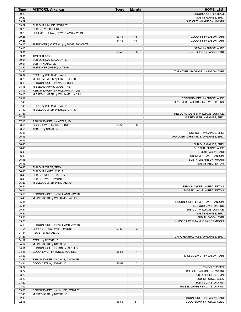| <b>Time</b>    | <b>VISITORS: Arkansas</b>                                       | <b>Score</b> | <b>Margin</b>  | <b>HOME: LSU</b>                                |
|----------------|-----------------------------------------------------------------|--------------|----------------|-------------------------------------------------|
| 09:29          |                                                                 |              |                | REBOUND (OFF) by TEAM                           |
| 09:29          |                                                                 |              |                | SUB IN: GAINES, ERIC                            |
| 09:29          |                                                                 |              |                | SUB OUT: WILKINSON, MWANI                       |
| 09:29<br>09:29 | SUB OUT: UMUDE, STANLEY<br>SUB IN: LYKES, CHRIS                 |              |                |                                                 |
| 09:26          | FOUL (PERSONAL) by WILLIAMS, JAYLIN                             |              |                |                                                 |
| 09:26          |                                                                 | 53-48        | H <sub>5</sub> | GOOD! FT by EASON, TARI                         |
| 09:26          |                                                                 | 54-48        | H <sub>6</sub> | GOOD! FT by EASON, TARI                         |
| 09:05          | TURNOVER (LOSTBALL) by DAVIS, DAVONTE                           |              |                |                                                 |
| 09:05          |                                                                 |              |                | STEAL by FUDGE, ALEX                            |
| 09:01          |                                                                 | 56-48        | H 8            | GOOD! DUNK by EASON, TARI                       |
| 09:01<br>09:01 | TIMEOUT 30SEC<br>SUB OUT: DAVIS, DAVONTE                        |              |                |                                                 |
| 09:01          | SUB IN: NOTAE, JD                                               |              |                |                                                 |
| 08:50          | TURNOVER (10SEC) by TEAM                                        |              |                |                                                 |
| 08:32          |                                                                 |              |                | TURNOVER (BADPASS) by EASON, TARI               |
| 08:32          | STEAL by WILLIAMS, JAYLIN                                       |              |                |                                                 |
| 08:25          | MISSED JUMPER by LYKES, CHRIS                                   |              |                |                                                 |
| 08:18          | REBOUND (OFF) by WADE, TREY                                     |              |                |                                                 |
| 08:18<br>08:17 | MISSED LAYUP by WADE, TREY<br>REBOUND (OFF) by WILLIAMS, JAYLIN |              |                |                                                 |
| 08:15          | MISSED JUMPER by WILLIAMS, JAYLIN                               |              |                |                                                 |
| 08:11          |                                                                 |              |                | REBOUND (DEF) by FUDGE, ALEX                    |
| 07:45          |                                                                 |              |                | TURNOVER (BADPASS) by DAYS, DARIUS              |
| 07:45          | STEAL by WILLIAMS, JAYLIN                                       |              |                |                                                 |
| 07:40          | MISSED JUMPER by LYKES, CHRIS                                   |              |                |                                                 |
| 07:37          |                                                                 |              |                | REBOUND (DEF) by WILLIAMS, JUSTICE              |
| 07:09<br>07:06 | REBOUND (DEF) by NOTAE, JD                                      |              |                | MISSED 3PTR by GAINES, ERIC                     |
| 06:55          | GOOD! LAYUP by WADE, TREY                                       | 56-50        | H <sub>6</sub> |                                                 |
| 06:55          | ASSIST by NOTAE, JD                                             |              |                |                                                 |
| 06:46          |                                                                 |              |                | FOUL (OFF) by GAINES, ERIC                      |
| 06:46          |                                                                 |              |                | TURNOVER (OFFENSIVE) by GAINES, ERIC            |
| 06:46          |                                                                 |              |                |                                                 |
| 06:46          |                                                                 |              |                | SUB OUT: GAINES, ERIC                           |
| 06:46<br>06:46 |                                                                 |              |                | SUB OUT: FUDGE, ALEX                            |
| 06:46          |                                                                 |              |                | SUB OUT: EASON, TARI<br>SUB IN: MURRAY, BRANDON |
| 06:46          |                                                                 |              |                | SUB IN: WILKINSON, MWANI                        |
| 06:46          |                                                                 |              |                | SUB IN: REID, EFTON                             |
| 06:46          | SUB OUT: WADE, TREY                                             |              |                |                                                 |
| 06:46          | SUB OUT: LYKES, CHRIS                                           |              |                |                                                 |
| 06:46          | SUB IN: UMUDE, STANLEY                                          |              |                |                                                 |
| 06:46          | SUB IN: DAVIS, DAVONTE<br>MISSED JUMPER by NOTAE, JD            |              |                |                                                 |
| 06:23<br>06:21 |                                                                 |              |                | REBOUND (DEF) by REID, EFTON                    |
| 06:01          |                                                                 |              |                | MISSED LAYUP by REID, EFTON                     |
| 05:56          | REBOUND (DEF) by WILLIAMS, JAYLIN                               |              |                |                                                 |
| 05:46          | MISSED 3PTR by WILLIAMS, JAYLIN                                 |              |                |                                                 |
| 05:41          |                                                                 |              |                | REBOUND (DEF) by MURRAY, BRANDON                |
| 05:31          |                                                                 |              |                | SUB OUT: DAYS, DARIUS                           |
| 05:31          |                                                                 |              |                | SUB OUT: WILLIAMS, JUSTICE                      |
| 05:31<br>05:31 |                                                                 |              |                | SUB IN: GAINES, ERIC<br>SUB IN: EASON, TARI     |
| 05:20          |                                                                 |              |                | MISSED LAYUP by MURRAY, BRANDON                 |
| 05:18          | REBOUND (DEF) by WILLIAMS, JAYLIN                               |              |                |                                                 |
| 04:54          | GOOD! 3PTR by DAVIS, DAVONTE                                    | 56-53        | $H_3$          |                                                 |
| 04:54          | ASSIST by NOTAE, JD                                             |              |                |                                                 |
| 04:27          |                                                                 |              |                | TURNOVER (BADPASS) by GAINES, ERIC              |
| 04:27          | STEAL by NOTAE, JD                                              |              |                |                                                 |
| 04:17<br>04:11 | MISSED 3PTR by NOTAE, JD<br>REBOUND (OFF) by TONEY, AU'DIESE    |              |                |                                                 |
| 04:11          | GOOD! LAYUP by TONEY, AU'DIESE                                  | 56-55        | H <sub>1</sub> |                                                 |
| 03:57          |                                                                 |              |                | MISSED LAYUP by EASON, TARI                     |
| 03:55          | REBOUND (DEF) by DAVIS, DAVONTE                                 |              |                |                                                 |
| 03:31          | GOOD! 3PTR by NOTAE, JD                                         | 56-58        | V <sub>2</sub> |                                                 |
| 03:22          |                                                                 |              |                | TIMEOUT 30SEC                                   |
| 03:22          |                                                                 |              |                | SUB OUT: WILKINSON, MWANI                       |
| 03:22          |                                                                 |              |                | SUB OUT: REID, EFTON                            |
| 03:22<br>03:22 |                                                                 |              |                | SUB IN: FUDGE, ALEX<br>SUB IN: DAYS, DARIUS     |
| 03:09          |                                                                 |              |                | MISSED JUMPER by DAYS, DARIUS                   |
| 03:05          | REBOUND (DEF) by UMUDE, STANLEY                                 |              |                |                                                 |
| 02:40          | MISSED 3PTR by NOTAE, JD                                        |              |                |                                                 |
| 02:35          |                                                                 |              |                | REBOUND (DEF) by EASON, TARI                    |
| 02:16          |                                                                 | 58-58        | T              | GOOD! DUNK by FUDGE, ALEX                       |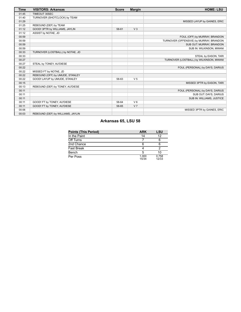| <b>Time</b> | <b>VISITORS: Arkansas</b>         | <b>Score</b> | <b>Margin</b>  | <b>HOME: LSU</b>                        |
|-------------|-----------------------------------|--------------|----------------|-----------------------------------------|
| 01:45       | TIMEOUT 30SEC                     |              |                |                                         |
| 01:40       | TURNOVER (SHOTCLOCK) by TEAM      |              |                |                                         |
| 01:29       |                                   |              |                | MISSED LAYUP by GAINES, ERIC            |
| 01:25       | REBOUND (DEF) by TEAM             |              |                |                                         |
| 01:12       | GOOD! 3PTR by WILLIAMS, JAYLIN    | 58-61        | V <sub>3</sub> |                                         |
| 01:12       | ASSIST by NOTAE, JD               |              |                |                                         |
| 00:59       |                                   |              |                | FOUL (OFF) by MURRAY, BRANDON           |
| 00:59       |                                   |              |                | TURNOVER (OFFENSIVE) by MURRAY, BRANDON |
| 00:59       |                                   |              |                | SUB OUT: MURRAY, BRANDON                |
| 00:59       |                                   |              |                | SUB IN: WILKINSON, MWANI                |
| 00:33       | TURNOVER (LOSTBALL) by NOTAE, JD  |              |                |                                         |
| 00:33       |                                   |              |                | STEAL by EASON, TARI                    |
| 00:27       |                                   |              |                | TURNOVER (LOSTBALL) by WILKINSON, MWANI |
| 00:27       | STEAL by TONEY, AU'DIESE          |              |                |                                         |
| 00:22       |                                   |              |                | FOUL (PERSONAL) by DAYS, DARIUS         |
| 00:22       | MISSED FT by NOTAE, JD            |              |                |                                         |
| 00:22       | REBOUND (OFF) by UMUDE, STANLEY   |              |                |                                         |
| 00:22       | GOOD! LAYUP by UMUDE. STANLEY     | 58-63        | V <sub>5</sub> |                                         |
| 00:15       |                                   |              |                | MISSED 3PTR by EASON, TARI              |
| 00:13       | REBOUND (DEF) by TONEY, AU'DIESE  |              |                |                                         |
| 00:11       |                                   |              |                | FOUL (PERSONAL) by DAYS, DARIUS         |
| 00:11       |                                   |              |                | SUB OUT: DAYS, DARIUS                   |
| 00:11       |                                   |              |                | SUB IN: WILLIAMS, JUSTICE               |
| 00:11       | GOOD! FT by TONEY, AU'DIESE       | 58-64        | $V_6$          |                                         |
| 00:11       | GOOD! FT by TONEY, AU'DIESE       | 58-65        | V <sub>7</sub> |                                         |
| 00:06       |                                   |              |                | MISSED 3PTR by GAINES, ERIC             |
| 00:03       | REBOUND (DEF) by WILLIAMS, JAYLIN |              |                |                                         |

# **Arkansas 65, LSU 58**

| <b>Points (This Period)</b> | <b>ARK</b>     | LSU            |
|-----------------------------|----------------|----------------|
| In the Paint                | 14             | 12             |
| Off Turns                   |                |                |
| 2nd Chance                  | 6              |                |
| Fast Break                  |                |                |
| Bench                       | 5              | 10             |
| Per Poss                    | 1.000<br>15/34 | 0.758<br>12/33 |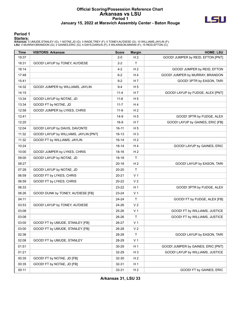### **Official Scoring/Possession Reference Chart Arkansas vs LSU Period 1 January 15, 2022 at Maravich Assembly Center - Baton Rouge**



#### **Period 1**

<mark>Starters :</mark><br>Arkansas: 0 UMUDE,STANLEY (G); 1 NOTAE,JD (G); 3 WADE,TREY (F); 5 TONEY,AU'DIESE (G); 10 WILLIAMS,JAYLIN (F);<br>LSU: 0 MURRAY,BRANDON (G); 2 GAINES,ERIC (G); 4 DAYS,DARIUS (F); 5 WILKINSON,MWANI (F); 15 REID,EFT

| Time  | <b>VISITORS: Arkansas</b>             | <b>Score</b> | <b>Margin</b>  | <b>HOME: LSU</b>                   |
|-------|---------------------------------------|--------------|----------------|------------------------------------|
| 19:37 |                                       | $2 - 0$      | H <sub>2</sub> | GOOD! JUMPER by REID, EFTON [PNT]  |
| 18:31 | GOOD! LAYUP by TONEY, AU'DIESE        | $2 - 2$      | $\mathsf{T}$   |                                    |
| 18:14 |                                       | $4 - 2$      | H <sub>2</sub> | GOOD! JUMPER by REID, EFTON        |
| 17:48 |                                       | $6-2$        | H4             | GOOD! JUMPER by MURRAY, BRANDON    |
| 15:41 |                                       | $9 - 2$      | H 7            | GOOD! 3PTR by EASON, TARI          |
| 14:32 | GOOD! JUMPER by WILLIAMS, JAYLIN      | 9-4          | H <sub>5</sub> |                                    |
| 14:15 |                                       | $11 - 4$     | H 7            | GOOD! LAYUP by FUDGE, ALEX [PNT]   |
| 13:34 | GOOD! LAYUP by NOTAE, JD              | $11 - 6$     | H <sub>5</sub> |                                    |
| 13:34 | GOOD! FT by NOTAE, JD                 | $11 - 7$     | H4             |                                    |
| 12:58 | GOOD! JUMPER by LYKES, CHRIS          | $11-9$       | H <sub>2</sub> |                                    |
| 12:41 |                                       | $14-9$       | H <sub>5</sub> | GOOD! 3PTR by FUDGE, ALEX          |
| 12:20 |                                       | $16-9$       | H 7            | GOOD! LAYUP by GAINES, ERIC [FB]   |
| 12:04 | GOOD! LAYUP by DAVIS, DAVONTE         | $16 - 11$    | H <sub>5</sub> |                                    |
| 11:32 | GOOD! LAYUP by WILLIAMS, JAYLIN [PNT] | $16 - 13$    | $H_3$          |                                    |
| 11:32 | GOOD! FT by WILLIAMS, JAYLIN          | $16 - 14$    | H <sub>2</sub> |                                    |
| 10:24 |                                       | $18 - 14$    | H4             | GOOD! LAYUP by GAINES, ERIC        |
| 10:00 | GOOD! JUMPER by LYKES, CHRIS          | 18-16        | H <sub>2</sub> |                                    |
| 09:00 | GOOD! LAYUP by NOTAE, JD              | $18-18$      | $\mathsf{T}$   |                                    |
| 08:27 |                                       | $20 - 18$    | H <sub>2</sub> | GOOD! LAYUP by EASON, TARI         |
| 07:28 | GOOD! LAYUP by NOTAE, JD              | 20-20        | $\mathsf{T}$   |                                    |
| 06:59 | GOOD! FT by LYKES, CHRIS              | 20-21        | V <sub>1</sub> |                                    |
| 06:59 | GOOD! FT by LYKES, CHRIS              | 20-22        | V <sub>2</sub> |                                    |
| 06:33 |                                       | 23-22        | H <sub>1</sub> | GOOD! 3PTR by FUDGE, ALEX          |
| 06:26 | GOOD! DUNK by TONEY, AU'DIESE [FB]    | 23-24        | V <sub>1</sub> |                                    |
| 04:11 |                                       | 24-24        | $\mathsf T$    | GOOD! FT by FUDGE, ALEX [FB]       |
| 03:53 | GOOD! LAYUP by TONEY, AU'DIESE        | 24-26        | V <sub>2</sub> |                                    |
| 03:08 |                                       | 25-26        | V <sub>1</sub> | GOOD! FT by WILLIAMS, JUSTICE      |
| 03:08 |                                       | 26-26        | $\mathsf{T}$   | GOOD! FT by WILLIAMS, JUSTICE      |
| 03:00 | GOOD! FT by UMUDE, STANLEY [FB]       | 26-27        | V <sub>1</sub> |                                    |
| 03:00 | GOOD! FT by UMUDE, STANLEY [FB]       | 26-28        | V <sub>2</sub> |                                    |
| 02:36 |                                       | 28-28        | T              | GOOD! LAYUP by EASON, TARI         |
| 02:08 | GOOD! FT by UMUDE, STANLEY            | 28-29        | V <sub>1</sub> |                                    |
| 01:51 |                                       | 30-29        | H <sub>1</sub> | GOOD! JUMPER by GAINES, ERIC [PNT] |
| 01:21 |                                       | 32-29        | $H_3$          | GOOD! LAYUP by WILLIAMS, JUSTICE   |
| 00:35 | GOOD! FT by NOTAE, JD [FB]            | 32-30        | H <sub>2</sub> |                                    |
| 00:35 | GOOD! FT by NOTAE, JD [FB]            | $32 - 31$    | H <sub>1</sub> |                                    |
| 00:11 |                                       | 33-31        | H <sub>2</sub> | GOOD! FT by GAINES, ERIC           |

**Arkansas 31, LSU 33**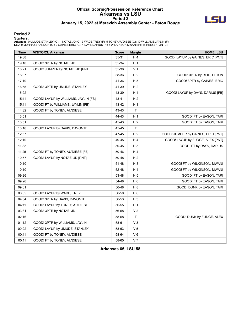### **Official Scoring/Possession Reference Chart Arkansas vs LSU Period 2 January 15, 2022 at Maravich Assembly Center - Baton Rouge**



#### **Period 2**

#### **Starters:**

**Arkansas**: 0 UMUDE,STANLEY (G); 1 NOTAE,JD (G); 3 WADE,TREY (F); 5 TONEY,AU'DIESE (G); 10 WILLIAMS,JAYLIN (F);<br>**LSU**: 0 MURRAY,BRANDON (G); 2 GAINES,ERIC (G); 4 DAYS,DARIUS (F); 5 WILKINSON,MWANI (F); 15 REID,EFTON (C);

| <b>Time</b> | <b>VISITORS: Arkansas</b>            | <b>Score</b> | <b>Margin</b>  | <b>HOME: LSU</b>                   |
|-------------|--------------------------------------|--------------|----------------|------------------------------------|
| 19:38       |                                      | 35-31        | H 4            | GOOD! LAYUP by GAINES, ERIC [PNT]  |
| 19:10       | GOOD! 3PTR by NOTAE, JD              | 35-34        | H <sub>1</sub> |                                    |
| 18:21       | GOOD! JUMPER by NOTAE, JD [PNT]      | 35-36        | V <sub>1</sub> |                                    |
| 18:07       |                                      | 38-36        | H <sub>2</sub> | GOOD! 3PTR by REID, EFTON          |
| 17:10       |                                      | 41-36        | H 5            | GOOD! 3PTR by GAINES, ERIC         |
| 16:55       | GOOD! 3PTR by UMUDE, STANLEY         | 41-39        | H <sub>2</sub> |                                    |
| 15:22       |                                      | 43-39        | H4             | GOOD! LAYUP by DAYS, DARIUS [FB]   |
| 15:11       | GOOD! LAYUP by WILLIAMS, JAYLIN [FB] | 43-41        | H <sub>2</sub> |                                    |
| 15:11       | GOOD! FT by WILLIAMS, JAYLIN [FB]    | 43-42        | H <sub>1</sub> |                                    |
| 14:32       | GOOD! FT by TONEY, AU'DIESE          | 43-43        | $\sf T$        |                                    |
| 13:51       |                                      | 44-43        | H <sub>1</sub> | GOOD! FT by EASON, TARI            |
| 13:51       |                                      | 45-43        | H <sub>2</sub> | GOOD! FT by EASON, TARI            |
| 13:16       | GOOD! LAYUP by DAVIS, DAVONTE        | 45-45        | $\top$         |                                    |
| 12:57       |                                      | 47-45        | H <sub>2</sub> | GOOD! JUMPER by GAINES, ERIC [PNT] |
| 12:10       |                                      | 49-45        | H 4            | GOOD! LAYUP by FUDGE, ALEX [PNT]   |
| 11:32       |                                      | 50-45        | H <sub>5</sub> | GOOD! FT by DAYS, DARIUS           |
| 11:25       | GOOD! FT by TONEY, AU'DIESE [FB]     | 50-46        | H 4            |                                    |
| 10:57       | GOOD! LAYUP by NOTAE, JD [PNT]       | 50-48        | H <sub>2</sub> |                                    |
| 10:10       |                                      | 51-48        | H <sub>3</sub> | GOOD! FT by WILKINSON, MWANI       |
| 10:10       |                                      | 52-48        | H4             | GOOD! FT by WILKINSON, MWANI       |
| 09:26       |                                      | 53-48        | H <sub>5</sub> | GOOD! FT by EASON, TARI            |
| 09:26       |                                      | 54-48        | H <sub>6</sub> | GOOD! FT by EASON, TARI            |
| 09:01       |                                      | 56-48        | H <sub>8</sub> | GOOD! DUNK by EASON, TARI          |
| 06:55       | GOOD! LAYUP by WADE, TREY            | 56-50        | H <sub>6</sub> |                                    |
| 04:54       | GOOD! 3PTR by DAVIS, DAVONTE         | 56-53        | $H_3$          |                                    |
| 04:11       | GOOD! LAYUP by TONEY, AU'DIESE       | 56-55        | H <sub>1</sub> |                                    |
| 03:31       | GOOD! 3PTR by NOTAE, JD              | 56-58        | V <sub>2</sub> |                                    |
| 02:16       |                                      | 58-58        | $\sf T$        | GOOD! DUNK by FUDGE, ALEX          |
| 01:12       | GOOD! 3PTR by WILLIAMS, JAYLIN       | 58-61        | V <sub>3</sub> |                                    |
| 00:22       | GOOD! LAYUP by UMUDE, STANLEY        | 58-63        | V <sub>5</sub> |                                    |
| 00:11       | GOOD! FT by TONEY, AU'DIESE          | 58-64        | $V_6$          |                                    |
| 00:11       | GOOD! FT by TONEY, AU'DIESE          | 58-65        | V <sub>7</sub> |                                    |

**Arkansas 65, LSU 58**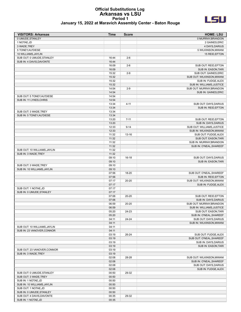#### **Official Substitutions Log Arkansas vs LSU Period 1 January 15, 2022 at Maravich Assembly Center - Baton Rouge**



| <b>VISITORS: Arkansas</b>    | <b>Time</b> | <b>Score</b> | <b>HOME: LSU</b>           |
|------------------------------|-------------|--------------|----------------------------|
| 0 UMUDE, STANLEY             |             |              | 0 MURRAY, BRANDON          |
| 1 NOTAE, JD                  |             |              | 2 GAINES, ERIC             |
| 3 WADE, TREY                 |             |              | 4 DAYS, DARIUS             |
| 5 TONEY, AU'DIESE            |             |              | 5 WILKINSON, MWANI         |
| 10 WILLIAMS, JAYLIN          |             |              | 15 REID, EFTON             |
| SUB OUT: 0 UMUDE, STANLEY    | 16:44       | $2 - 6$      |                            |
| SUB IN: 4 DAVIS, DAVONTE     | 16:44       |              |                            |
|                              | 16:09       | $2 - 6$      | SUB OUT: REID, EFTON       |
|                              | 16:09       |              | SUB IN: EASON, TARI        |
|                              | 15:32       | $2 - 9$      | SUB OUT: GAINES, ERIC      |
|                              | 15:32       |              | SUB OUT: WILKINSON, MWANI  |
|                              | 15:32       |              | SUB IN: FUDGE, ALEX        |
|                              | 15:32       |              | SUB IN: WILLIAMS, JUSTICE  |
|                              | 14:54       | $2 - 9$      | SUB OUT: MURRAY, BRANDON   |
|                              | 14:54       |              | SUB IN: GAINES, ERIC       |
| SUB OUT: 5 TONEY, AU'DIESE   | 14:54       |              |                            |
| SUB IN: 11 LYKES, CHRIS      | 14:54       |              |                            |
|                              | 13:34       | $4 - 11$     | SUB OUT: DAYS, DARIUS      |
|                              | 13:34       |              | SUB IN: REID, EFTON        |
| SUB OUT: 3 WADE, TREY        | 13:34       |              |                            |
| SUB IN: 5 TONEY, AU'DIESE    | 13:34       |              |                            |
|                              | 13:20       | $7 - 11$     | SUB OUT: REID, EFTON       |
|                              | 13:20       |              | SUB IN: DAYS, DARIUS       |
|                              | 12:33       | $9 - 14$     | SUB OUT: WILLIAMS, JUSTICE |
|                              | 12:33       |              | SUB IN: WILKINSON, MWANI   |
|                              | 11:32       | 13-16        | SUB OUT: FUDGE, ALEX       |
|                              | 11:32       |              | SUB OUT: EASON, TARI       |
|                              | 11:32       |              | SUB IN: MURRAY, BRANDON    |
|                              | 11:32       |              | SUB IN: O'NEAL, SHAREEF    |
| SUB OUT: 10 WILLIAMS, JAYLIN | 11:32       |              |                            |
| SUB IN: 3 WADE, TREY         | 11:32       |              |                            |
|                              | 09:10       | $16-18$      | SUB OUT: DAYS, DARIUS      |
|                              | 09:10       |              | SUB IN: EASON, TARI        |
| SUB OUT: 3 WADE, TREY        | 09:10       |              |                            |
| SUB IN: 10 WILLIAMS, JAYLIN  | 09:10       |              |                            |
|                              | 07:56       | 18-20        | SUB OUT: O'NEAL, SHAREEF   |
|                              | 07:56       |              | SUB IN: REID, EFTON        |
|                              | 07:17       | 20-20        | SUB OUT: WILKINSON, MWANI  |
|                              | 07:17       |              | SUB IN: FUDGE, ALEX        |
| SUB OUT: 1 NOTAE, JD         | 07:17       |              |                            |
| SUB IN: 0 UMUDE, STANLEY     | 07:17       |              |                            |
|                              | 07:06       | 20-20        | SUB OUT: REID, EFTON       |
|                              | 07:06       |              | <b>SUB IN: DAYS.DARIUS</b> |
|                              | 06:59       | 20-20        | SUB OUT: MURRAY, BRANDON   |
|                              | 06:59       |              | SUB IN: WILLIAMS, JUSTICE  |
|                              | 05:20       | 24-23        | SUB OUT: EASON, TARI       |
|                              | 05:20       |              | SUB IN: O'NEAL, SHAREEF    |
|                              | 04:11       | 24-24        | SUB OUT: DAYS, DARIUS      |
|                              | 04:11       |              | SUB IN: WILKINSON, MWANI   |
| SUB OUT: 10 WILLIAMS, JAYLIN | 04:11       |              |                            |
| SUB IN: 23 VANOVER, CONNOR   | 04:11       |              |                            |
|                              | 03:19       | 26-24        | SUB OUT: FUDGE, ALEX       |
|                              | 03:19       |              | SUB OUT: O'NEAL, SHAREEF   |
|                              | 03:19       |              | SUB IN: DAYS, DARIUS       |
|                              | 03:19       |              | SUB IN: EASON, TARI        |
| SUB OUT: 23 VANOVER, CONNOR  | 03:19       |              |                            |
| SUB IN: 3 WADE, TREY         | 03:19       |              |                            |
|                              | 02:08       | 28-28        | SUB OUT: WILKINSON, MWANI  |
|                              | 02:08       |              | SUB IN: O'NEAL, SHAREEF    |
|                              | 02:08       |              | SUB OUT: DAYS, DARIUS      |
|                              | 02:08       |              | SUB IN: FUDGE, ALEX        |
| SUB OUT: 0 UMUDE, STANLEY    | 00:50       | 29-32        |                            |
| SUB OUT: 3 WADE, TREY        | 00:50       |              |                            |
| SUB IN: 1 NOTAE, JD          | 00:50       |              |                            |
| SUB IN: 10 WILLIAMS, JAYLIN  | 00:50       |              |                            |
| SUB OUT: 1 NOTAE, JD         | 00:50       |              |                            |
| SUB IN: 0 UMUDE, STANLEY     | 00:50       |              |                            |
| SUB OUT: 4 DAVIS, DAVONTE    | 00:35       | 29-32        |                            |
| SUB IN: 1 NOTAE, JD          | 00:35       |              |                            |
|                              |             |              |                            |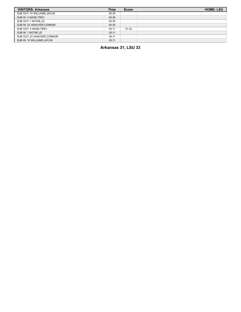| <b>VISITORS: Arkansas</b>    | <b>Time</b> | <b>Score</b> | <b>HOME: LSU</b> |
|------------------------------|-------------|--------------|------------------|
| SUB OUT: 10 WILLIAMS, JAYLIN | 00:35       |              |                  |
| SUB IN: 3 WADE, TREY         | 00:35       |              |                  |
| SUB OUT: 1 NOTAE, JD         | 00:35       |              |                  |
| SUB IN: 23 VANOVER.CONNOR    | 00:35       |              |                  |
| SUB OUT: 3 WADE, TREY        | 00:11       | $31 - 32$    |                  |
| SUB IN: 1 NOTAE, JD          | 00:11       |              |                  |
| SUB OUT: 23 VANOVER.CONNOR   | 00:11       |              |                  |
| SUB IN: 10 WILLIAMS, JAYLIN  | 00:11       |              |                  |

**Arkansas 31, LSU 33**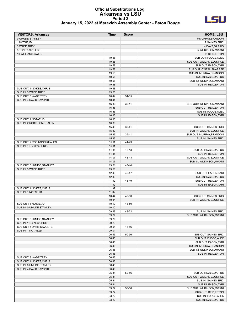# **Official Substitutions Log Arkansas vs LSU Period 2**



| January 15, 2022 at Maravich Assembly Center - Baton Rouge |  |
|------------------------------------------------------------|--|
|------------------------------------------------------------|--|

| <b>VISITORS: Arkansas</b>                       | <b>Time</b>    | <b>Score</b>             | <b>HOME: LSU</b>                                 |
|-------------------------------------------------|----------------|--------------------------|--------------------------------------------------|
| 0 UMUDE, STANLEY                                |                |                          | 0 MURRAY, BRANDON                                |
| 1 NOTAE, JD                                     |                |                          | 2 GAINES, ERIC                                   |
| 3 WADE, TREY                                    |                |                          | 4 DAYS, DARIUS                                   |
| 5 TONEY, AU'DIESE                               |                |                          | 5 WILKINSON, MWANI                               |
| 10 WILLIAMS, JAYLIN                             |                |                          | 15 REID, EFTON                                   |
|                                                 | 19:58          | $\overline{\phantom{a}}$ | SUB OUT: FUDGE, ALEX                             |
|                                                 | 19:58          |                          | SUB OUT: WILLIAMS, JUSTICE                       |
|                                                 | 19:58          |                          | SUB OUT: EASON, TARI                             |
|                                                 | 19:58          |                          | SUB OUT: O'NEAL, SHAREEF                         |
|                                                 | 19:58          |                          | SUB IN: MURRAY, BRANDON                          |
|                                                 | 19:58          |                          | SUB IN: DAYS, DARIUS<br>SUB IN: WILKINSON, MWANI |
|                                                 | 19:58<br>19:58 |                          | SUB IN: REID, EFTON                              |
| SUB OUT: 11 LYKES, CHRIS                        | 19:58          |                          |                                                  |
| SUB IN: 3 WADE, TREY                            | 19:58          |                          |                                                  |
| SUB OUT: 3 WADE, TREY                           | 18:44          | 34-35                    |                                                  |
| SUB IN: 4 DAVIS, DAVONTE                        | 18:44          |                          |                                                  |
|                                                 | 16:36          | 39-41                    | SUB OUT: WILKINSON, MWANI                        |
|                                                 | 16:36          |                          | SUB OUT: REID, EFTON                             |
|                                                 | 16:36          |                          | SUB IN: FUDGE, ALEX                              |
|                                                 | 16:36          |                          | SUB IN: EASON, TARI                              |
| SUB OUT: 1 NOTAE, JD                            | 16:36          |                          |                                                  |
| SUB IN: 2 ROBINSON, KHALEN                      | 16:36          |                          |                                                  |
|                                                 | 15:49          | 39-41                    | SUB OUT: GAINES, ERIC                            |
|                                                 | 15:49          |                          | SUB IN: WILLIAMS, JUSTICE                        |
|                                                 | 15:36          | 39-41                    | SUB OUT: MURRAY, BRANDON                         |
|                                                 | 15:36          |                          | SUB IN: GAINES, ERIC                             |
| SUB OUT: 2 ROBINSON, KHALEN                     | 15:11          | 41-43                    |                                                  |
| SUB IN: 11 LYKES, CHRIS                         | 15:11          |                          |                                                  |
|                                                 | 14:45          | 42-43                    | SUB OUT: DAYS, DARIUS                            |
|                                                 | 14:45          |                          | SUB IN: REID, EFTON                              |
|                                                 | 14:07          | 43-43                    | SUB OUT: WILLIAMS, JUSTICE                       |
|                                                 | 14:07          |                          | SUB IN: WILKINSON, MWANI                         |
| SUB OUT: 0 UMUDE, STANLEY                       | 13:51          | 43-44                    |                                                  |
| SUB IN: 3 WADE, TREY                            | 13:51          |                          |                                                  |
|                                                 | 12:43          | 45-47                    | SUB OUT: EASON, TARI                             |
|                                                 | 12:43          |                          | SUB IN: DAYS, DARIUS                             |
|                                                 | 11:32          | 45-49                    | SUB OUT: REID, EFTON                             |
|                                                 | 11:32          |                          | SUB IN: EASON, TARI                              |
| SUB OUT: 11 LYKES, CHRIS<br>SUB IN: 1 NOTAE, JD | 11:32<br>11:32 |                          |                                                  |
|                                                 | 10:44          | 48-50                    | SUB OUT: GAINES, ERIC                            |
|                                                 | 10:44          |                          | SUB IN: WILLIAMS, JUSTICE                        |
| SUB OUT: 1 NOTAE, JD                            | 10:10          | 48-50                    |                                                  |
| SUB IN: 0 UMUDE, STANLEY                        | 10:10          |                          |                                                  |
|                                                 | 09:29          | 48-52                    | SUB IN: GAINES, ERIC                             |
|                                                 | 09:29          |                          | SUB OUT: WILKINSON.MWANI                         |
| SUB OUT: 0 UMUDE, STANLEY                       | 09:29          |                          |                                                  |
| SUB IN: 11 LYKES, CHRIS                         | 09:29          |                          |                                                  |
| SUB OUT: 4 DAVIS, DAVONTE                       | 09:01          | 48-56                    |                                                  |
| SUB IN: 1 NOTAE, JD                             | 09:01          |                          |                                                  |
|                                                 | 06:46          | 50-56                    | SUB OUT: GAINES, ERIC                            |
|                                                 | 06:46          |                          | SUB OUT: FUDGE, ALEX                             |
|                                                 | 06:46          |                          | SUB OUT: EASON, TARI                             |
|                                                 | 06:46          |                          | SUB IN: MURRAY, BRANDON                          |
|                                                 | 06:46          |                          | SUB IN: WILKINSON, MWANI                         |
|                                                 | 06:46          |                          | SUB IN: REID, EFTON                              |
| SUB OUT: 3 WADE, TREY                           | 06:46          |                          |                                                  |
| SUB OUT: 11 LYKES, CHRIS                        | 06:46          |                          |                                                  |
| SUB IN: 0 UMUDE, STANLEY                        | 06:46          |                          |                                                  |
| SUB IN: 4 DAVIS, DAVONTE                        | 06:46          |                          |                                                  |
|                                                 | 05:31          | 50-56                    | SUB OUT: DAYS, DARIUS                            |
|                                                 | 05:31          |                          | SUB OUT: WILLIAMS, JUSTICE                       |
|                                                 | 05:31          |                          | SUB IN: GAINES, ERIC                             |
|                                                 | 05:31          |                          | SUB IN: EASON, TARI                              |
|                                                 | 03:22          | 58-56                    | SUB OUT: WILKINSON, MWANI                        |
|                                                 | 03:22          |                          | SUB OUT: REID, EFTON                             |
|                                                 | 03:22          |                          | SUB IN: FUDGE, ALEX                              |
|                                                 | 03:22          |                          | SUB IN: DAYS, DARIUS                             |